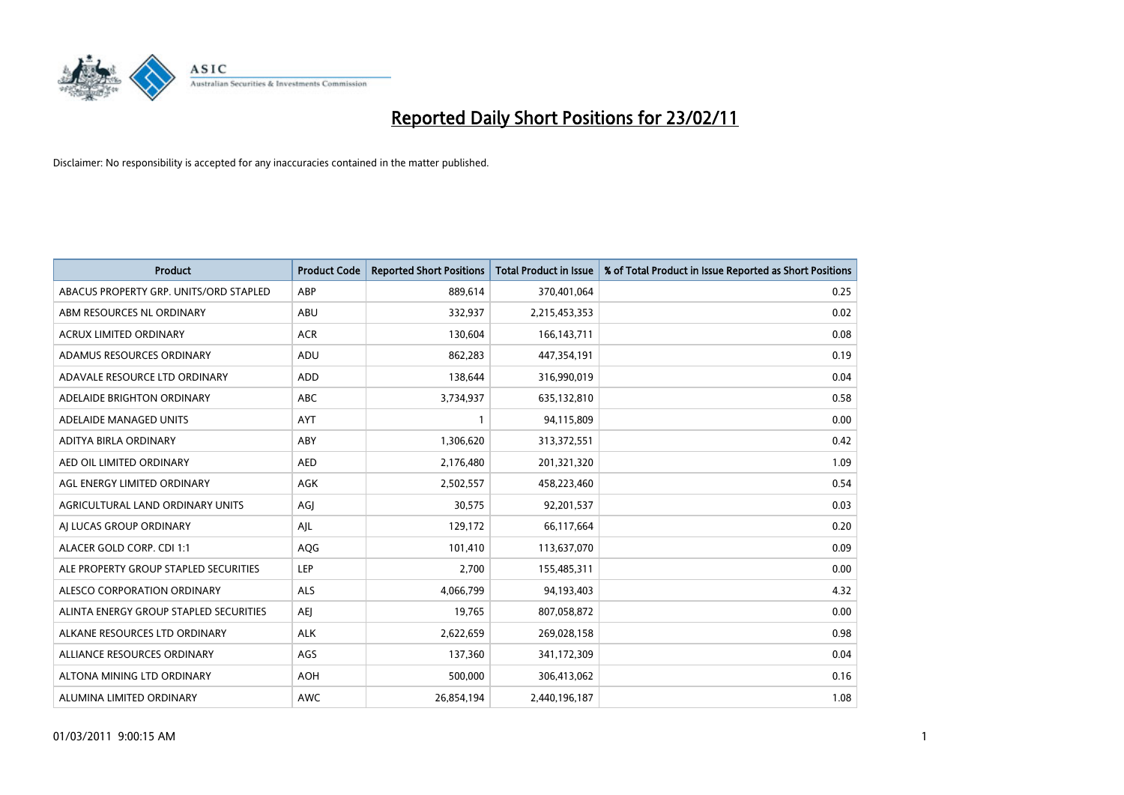

| Product                                | <b>Product Code</b> | <b>Reported Short Positions</b> | <b>Total Product in Issue</b> | % of Total Product in Issue Reported as Short Positions |
|----------------------------------------|---------------------|---------------------------------|-------------------------------|---------------------------------------------------------|
| ABACUS PROPERTY GRP. UNITS/ORD STAPLED | ABP                 | 889,614                         | 370,401,064                   | 0.25                                                    |
| ABM RESOURCES NL ORDINARY              | ABU                 | 332,937                         | 2,215,453,353                 | 0.02                                                    |
| <b>ACRUX LIMITED ORDINARY</b>          | <b>ACR</b>          | 130,604                         | 166, 143, 711                 | 0.08                                                    |
| ADAMUS RESOURCES ORDINARY              | ADU                 | 862,283                         | 447,354,191                   | 0.19                                                    |
| ADAVALE RESOURCE LTD ORDINARY          | <b>ADD</b>          | 138,644                         | 316,990,019                   | 0.04                                                    |
| ADELAIDE BRIGHTON ORDINARY             | <b>ABC</b>          | 3,734,937                       | 635,132,810                   | 0.58                                                    |
| ADELAIDE MANAGED UNITS                 | <b>AYT</b>          |                                 | 94,115,809                    | 0.00                                                    |
| ADITYA BIRLA ORDINARY                  | ABY                 | 1,306,620                       | 313,372,551                   | 0.42                                                    |
| AED OIL LIMITED ORDINARY               | <b>AED</b>          | 2,176,480                       | 201,321,320                   | 1.09                                                    |
| AGL ENERGY LIMITED ORDINARY            | AGK                 | 2,502,557                       | 458,223,460                   | 0.54                                                    |
| AGRICULTURAL LAND ORDINARY UNITS       | AGJ                 | 30,575                          | 92,201,537                    | 0.03                                                    |
| AI LUCAS GROUP ORDINARY                | AJL                 | 129,172                         | 66,117,664                    | 0.20                                                    |
| ALACER GOLD CORP. CDI 1:1              | AQG                 | 101,410                         | 113,637,070                   | 0.09                                                    |
| ALE PROPERTY GROUP STAPLED SECURITIES  | LEP                 | 2,700                           | 155,485,311                   | 0.00                                                    |
| ALESCO CORPORATION ORDINARY            | <b>ALS</b>          | 4,066,799                       | 94,193,403                    | 4.32                                                    |
| ALINTA ENERGY GROUP STAPLED SECURITIES | <b>AEI</b>          | 19,765                          | 807,058,872                   | 0.00                                                    |
| ALKANE RESOURCES LTD ORDINARY          | <b>ALK</b>          | 2,622,659                       | 269,028,158                   | 0.98                                                    |
| ALLIANCE RESOURCES ORDINARY            | AGS                 | 137,360                         | 341,172,309                   | 0.04                                                    |
| ALTONA MINING LTD ORDINARY             | <b>AOH</b>          | 500,000                         | 306,413,062                   | 0.16                                                    |
| ALUMINA LIMITED ORDINARY               | <b>AWC</b>          | 26,854,194                      | 2,440,196,187                 | 1.08                                                    |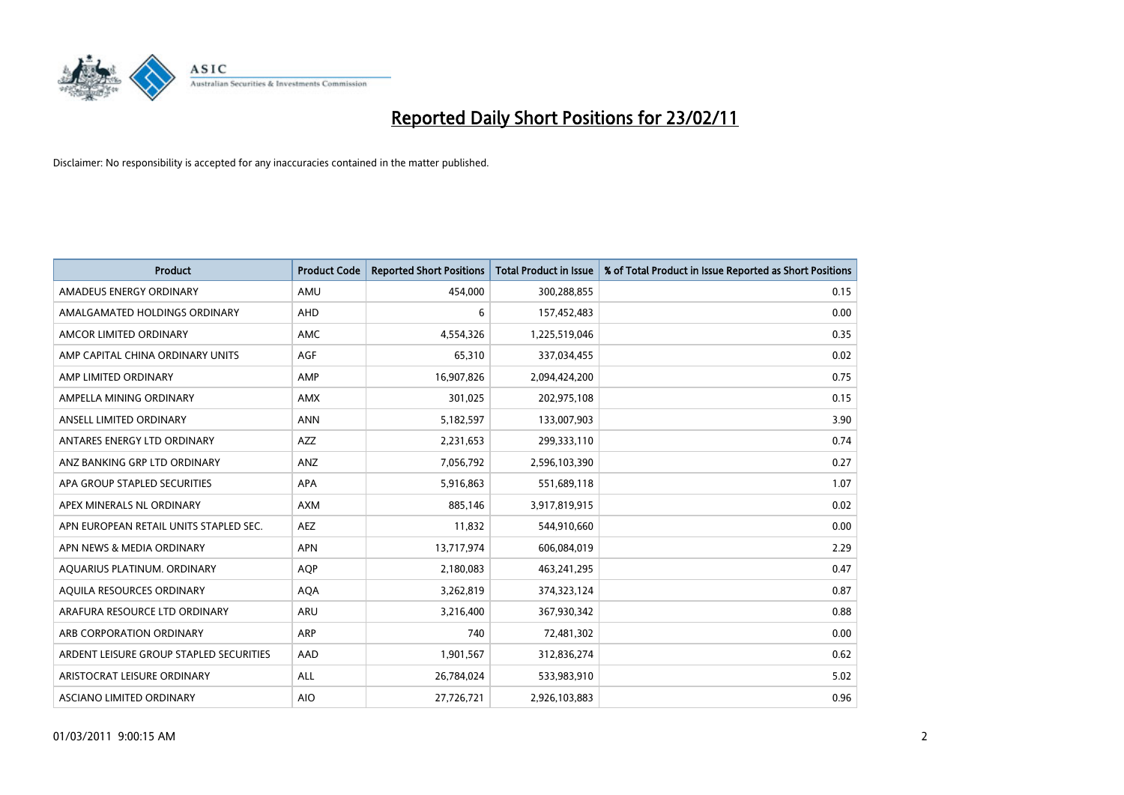

| <b>Product</b>                          | <b>Product Code</b> | <b>Reported Short Positions</b> | <b>Total Product in Issue</b> | % of Total Product in Issue Reported as Short Positions |
|-----------------------------------------|---------------------|---------------------------------|-------------------------------|---------------------------------------------------------|
| AMADEUS ENERGY ORDINARY                 | AMU                 | 454,000                         | 300,288,855                   | 0.15                                                    |
| AMALGAMATED HOLDINGS ORDINARY           | AHD                 | 6                               | 157,452,483                   | 0.00                                                    |
| AMCOR LIMITED ORDINARY                  | <b>AMC</b>          | 4,554,326                       | 1,225,519,046                 | 0.35                                                    |
| AMP CAPITAL CHINA ORDINARY UNITS        | AGF                 | 65,310                          | 337,034,455                   | 0.02                                                    |
| AMP LIMITED ORDINARY                    | AMP                 | 16,907,826                      | 2,094,424,200                 | 0.75                                                    |
| AMPELLA MINING ORDINARY                 | <b>AMX</b>          | 301,025                         | 202,975,108                   | 0.15                                                    |
| ANSELL LIMITED ORDINARY                 | <b>ANN</b>          | 5,182,597                       | 133,007,903                   | 3.90                                                    |
| ANTARES ENERGY LTD ORDINARY             | <b>AZZ</b>          | 2,231,653                       | 299,333,110                   | 0.74                                                    |
| ANZ BANKING GRP LTD ORDINARY            | ANZ                 | 7,056,792                       | 2,596,103,390                 | 0.27                                                    |
| APA GROUP STAPLED SECURITIES            | <b>APA</b>          | 5,916,863                       | 551,689,118                   | 1.07                                                    |
| APEX MINERALS NL ORDINARY               | <b>AXM</b>          | 885,146                         | 3,917,819,915                 | 0.02                                                    |
| APN EUROPEAN RETAIL UNITS STAPLED SEC.  | <b>AEZ</b>          | 11,832                          | 544,910,660                   | 0.00                                                    |
| APN NEWS & MEDIA ORDINARY               | <b>APN</b>          | 13,717,974                      | 606,084,019                   | 2.29                                                    |
| AQUARIUS PLATINUM. ORDINARY             | <b>AOP</b>          | 2,180,083                       | 463,241,295                   | 0.47                                                    |
| AQUILA RESOURCES ORDINARY               | <b>AQA</b>          | 3,262,819                       | 374,323,124                   | 0.87                                                    |
| ARAFURA RESOURCE LTD ORDINARY           | ARU                 | 3,216,400                       | 367,930,342                   | 0.88                                                    |
| ARB CORPORATION ORDINARY                | ARP                 | 740                             | 72,481,302                    | 0.00                                                    |
| ARDENT LEISURE GROUP STAPLED SECURITIES | AAD                 | 1,901,567                       | 312,836,274                   | 0.62                                                    |
| ARISTOCRAT LEISURE ORDINARY             | ALL                 | 26,784,024                      | 533,983,910                   | 5.02                                                    |
| ASCIANO LIMITED ORDINARY                | <b>AIO</b>          | 27,726,721                      | 2,926,103,883                 | 0.96                                                    |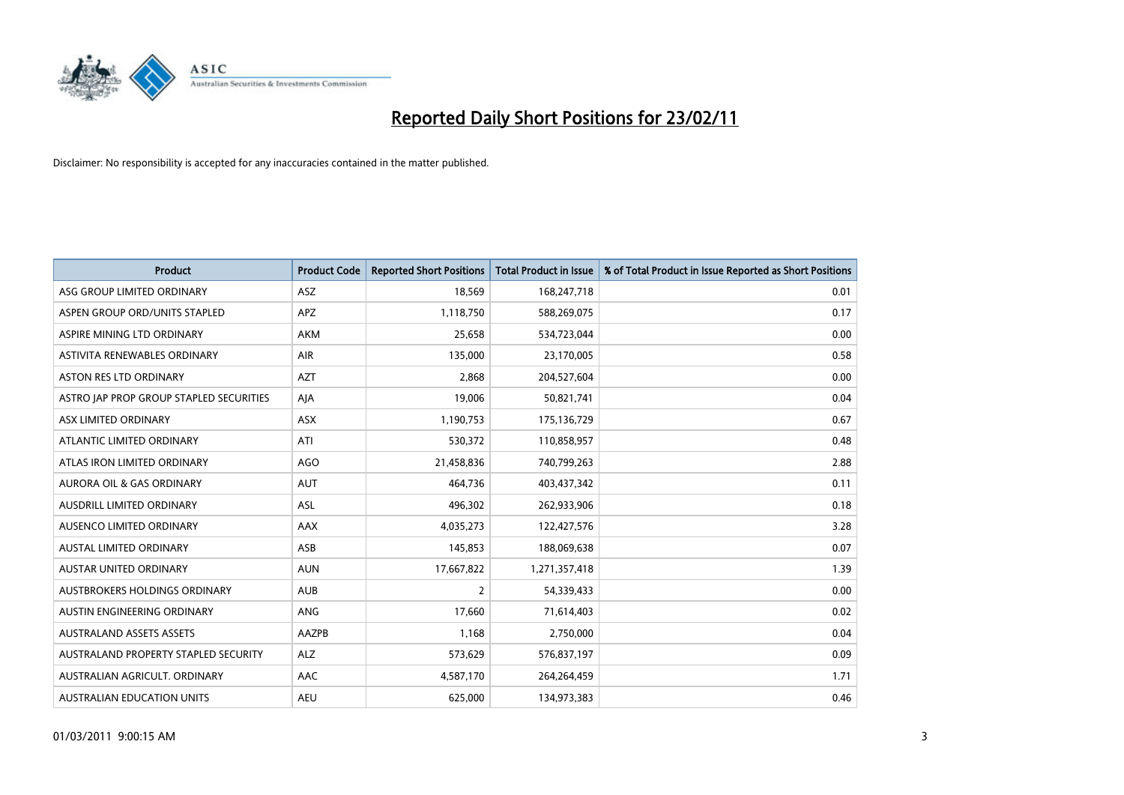

| <b>Product</b>                          | <b>Product Code</b> | <b>Reported Short Positions</b> | Total Product in Issue | % of Total Product in Issue Reported as Short Positions |
|-----------------------------------------|---------------------|---------------------------------|------------------------|---------------------------------------------------------|
| ASG GROUP LIMITED ORDINARY              | <b>ASZ</b>          | 18,569                          | 168,247,718            | 0.01                                                    |
| ASPEN GROUP ORD/UNITS STAPLED           | <b>APZ</b>          | 1,118,750                       | 588,269,075            | 0.17                                                    |
| ASPIRE MINING LTD ORDINARY              | <b>AKM</b>          | 25,658                          | 534,723,044            | 0.00                                                    |
| ASTIVITA RENEWABLES ORDINARY            | AIR                 | 135,000                         | 23,170,005             | 0.58                                                    |
| <b>ASTON RES LTD ORDINARY</b>           | <b>AZT</b>          | 2.868                           | 204,527,604            | 0.00                                                    |
| ASTRO JAP PROP GROUP STAPLED SECURITIES | AJA                 | 19,006                          | 50,821,741             | 0.04                                                    |
| ASX LIMITED ORDINARY                    | <b>ASX</b>          | 1,190,753                       | 175,136,729            | 0.67                                                    |
| ATLANTIC LIMITED ORDINARY               | ATI                 | 530,372                         | 110,858,957            | 0.48                                                    |
| ATLAS IRON LIMITED ORDINARY             | <b>AGO</b>          | 21,458,836                      | 740,799,263            | 2.88                                                    |
| <b>AURORA OIL &amp; GAS ORDINARY</b>    | <b>AUT</b>          | 464.736                         | 403,437,342            | 0.11                                                    |
| <b>AUSDRILL LIMITED ORDINARY</b>        | <b>ASL</b>          | 496,302                         | 262,933,906            | 0.18                                                    |
| AUSENCO LIMITED ORDINARY                | AAX                 | 4,035,273                       | 122,427,576            | 3.28                                                    |
| <b>AUSTAL LIMITED ORDINARY</b>          | ASB                 | 145,853                         | 188,069,638            | 0.07                                                    |
| <b>AUSTAR UNITED ORDINARY</b>           | <b>AUN</b>          | 17,667,822                      | 1,271,357,418          | 1.39                                                    |
| AUSTBROKERS HOLDINGS ORDINARY           | <b>AUB</b>          | $\overline{2}$                  | 54,339,433             | 0.00                                                    |
| AUSTIN ENGINEERING ORDINARY             | ANG                 | 17,660                          | 71,614,403             | 0.02                                                    |
| <b>AUSTRALAND ASSETS ASSETS</b>         | AAZPB               | 1,168                           | 2,750,000              | 0.04                                                    |
| AUSTRALAND PROPERTY STAPLED SECURITY    | <b>ALZ</b>          | 573,629                         | 576,837,197            | 0.09                                                    |
| AUSTRALIAN AGRICULT, ORDINARY           | AAC                 | 4,587,170                       | 264,264,459            | 1.71                                                    |
| <b>AUSTRALIAN EDUCATION UNITS</b>       | <b>AEU</b>          | 625.000                         | 134,973,383            | 0.46                                                    |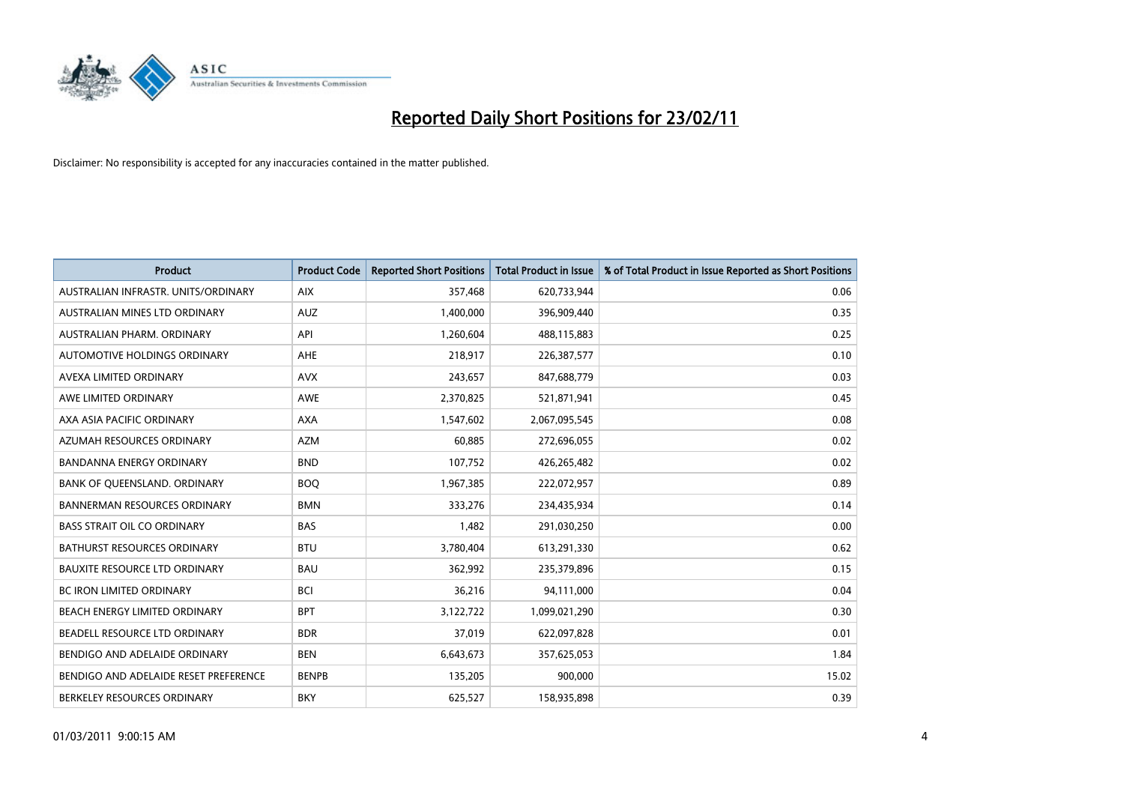

| <b>Product</b>                        | <b>Product Code</b> | <b>Reported Short Positions</b> | <b>Total Product in Issue</b> | % of Total Product in Issue Reported as Short Positions |
|---------------------------------------|---------------------|---------------------------------|-------------------------------|---------------------------------------------------------|
| AUSTRALIAN INFRASTR. UNITS/ORDINARY   | <b>AIX</b>          | 357,468                         | 620,733,944                   | 0.06                                                    |
| AUSTRALIAN MINES LTD ORDINARY         | <b>AUZ</b>          | 1,400,000                       | 396,909,440                   | 0.35                                                    |
| AUSTRALIAN PHARM, ORDINARY            | API                 | 1,260,604                       | 488,115,883                   | 0.25                                                    |
| AUTOMOTIVE HOLDINGS ORDINARY          | AHE                 | 218,917                         | 226,387,577                   | 0.10                                                    |
| AVEXA LIMITED ORDINARY                | <b>AVX</b>          | 243,657                         | 847,688,779                   | 0.03                                                    |
| AWE LIMITED ORDINARY                  | <b>AWE</b>          | 2,370,825                       | 521,871,941                   | 0.45                                                    |
| AXA ASIA PACIFIC ORDINARY             | <b>AXA</b>          | 1,547,602                       | 2,067,095,545                 | 0.08                                                    |
| AZUMAH RESOURCES ORDINARY             | <b>AZM</b>          | 60,885                          | 272,696,055                   | 0.02                                                    |
| <b>BANDANNA ENERGY ORDINARY</b>       | <b>BND</b>          | 107,752                         | 426,265,482                   | 0.02                                                    |
| BANK OF QUEENSLAND. ORDINARY          | <b>BOQ</b>          | 1,967,385                       | 222,072,957                   | 0.89                                                    |
| <b>BANNERMAN RESOURCES ORDINARY</b>   | <b>BMN</b>          | 333,276                         | 234,435,934                   | 0.14                                                    |
| <b>BASS STRAIT OIL CO ORDINARY</b>    | <b>BAS</b>          | 1,482                           | 291,030,250                   | 0.00                                                    |
| BATHURST RESOURCES ORDINARY           | <b>BTU</b>          | 3,780,404                       | 613,291,330                   | 0.62                                                    |
| <b>BAUXITE RESOURCE LTD ORDINARY</b>  | <b>BAU</b>          | 362,992                         | 235,379,896                   | 0.15                                                    |
| <b>BC IRON LIMITED ORDINARY</b>       | <b>BCI</b>          | 36,216                          | 94,111,000                    | 0.04                                                    |
| <b>BEACH ENERGY LIMITED ORDINARY</b>  | <b>BPT</b>          | 3,122,722                       | 1,099,021,290                 | 0.30                                                    |
| BEADELL RESOURCE LTD ORDINARY         | <b>BDR</b>          | 37,019                          | 622,097,828                   | 0.01                                                    |
| BENDIGO AND ADELAIDE ORDINARY         | <b>BEN</b>          | 6,643,673                       | 357,625,053                   | 1.84                                                    |
| BENDIGO AND ADELAIDE RESET PREFERENCE | <b>BENPB</b>        | 135,205                         | 900,000                       | 15.02                                                   |
| BERKELEY RESOURCES ORDINARY           | <b>BKY</b>          | 625,527                         | 158,935,898                   | 0.39                                                    |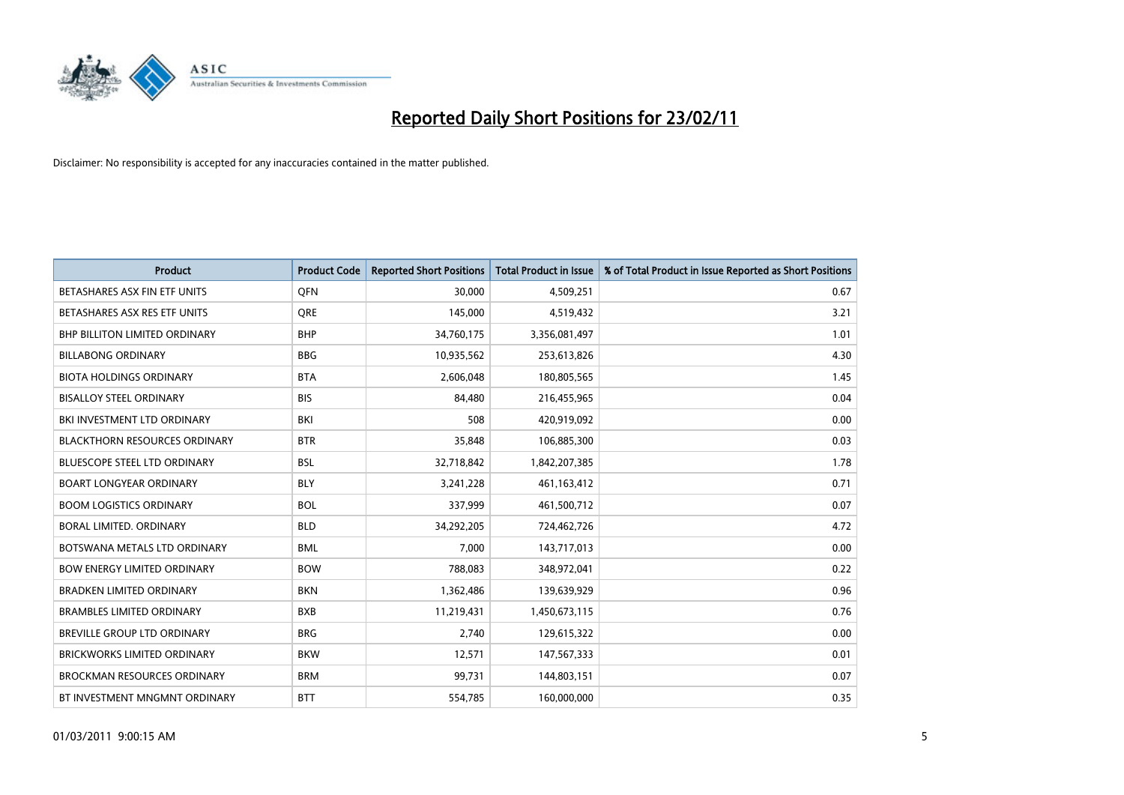

| Product                              | <b>Product Code</b> | <b>Reported Short Positions</b> | <b>Total Product in Issue</b> | % of Total Product in Issue Reported as Short Positions |
|--------------------------------------|---------------------|---------------------------------|-------------------------------|---------------------------------------------------------|
| BETASHARES ASX FIN ETF UNITS         | <b>OFN</b>          | 30,000                          | 4,509,251                     | 0.67                                                    |
| BETASHARES ASX RES ETF UNITS         | <b>ORE</b>          | 145,000                         | 4,519,432                     | 3.21                                                    |
| <b>BHP BILLITON LIMITED ORDINARY</b> | <b>BHP</b>          | 34,760,175                      | 3,356,081,497                 | 1.01                                                    |
| <b>BILLABONG ORDINARY</b>            | <b>BBG</b>          | 10,935,562                      | 253,613,826                   | 4.30                                                    |
| <b>BIOTA HOLDINGS ORDINARY</b>       | <b>BTA</b>          | 2,606,048                       | 180,805,565                   | 1.45                                                    |
| <b>BISALLOY STEEL ORDINARY</b>       | <b>BIS</b>          | 84.480                          | 216,455,965                   | 0.04                                                    |
| BKI INVESTMENT LTD ORDINARY          | <b>BKI</b>          | 508                             | 420,919,092                   | 0.00                                                    |
| <b>BLACKTHORN RESOURCES ORDINARY</b> | <b>BTR</b>          | 35,848                          | 106,885,300                   | 0.03                                                    |
| BLUESCOPE STEEL LTD ORDINARY         | <b>BSL</b>          | 32,718,842                      | 1,842,207,385                 | 1.78                                                    |
| <b>BOART LONGYEAR ORDINARY</b>       | <b>BLY</b>          | 3,241,228                       | 461,163,412                   | 0.71                                                    |
| <b>BOOM LOGISTICS ORDINARY</b>       | <b>BOL</b>          | 337,999                         | 461,500,712                   | 0.07                                                    |
| BORAL LIMITED, ORDINARY              | <b>BLD</b>          | 34,292,205                      | 724,462,726                   | 4.72                                                    |
| BOTSWANA METALS LTD ORDINARY         | <b>BML</b>          | 7,000                           | 143,717,013                   | 0.00                                                    |
| <b>BOW ENERGY LIMITED ORDINARY</b>   | <b>BOW</b>          | 788,083                         | 348,972,041                   | 0.22                                                    |
| <b>BRADKEN LIMITED ORDINARY</b>      | <b>BKN</b>          | 1,362,486                       | 139,639,929                   | 0.96                                                    |
| <b>BRAMBLES LIMITED ORDINARY</b>     | <b>BXB</b>          | 11,219,431                      | 1,450,673,115                 | 0.76                                                    |
| <b>BREVILLE GROUP LTD ORDINARY</b>   | <b>BRG</b>          | 2,740                           | 129,615,322                   | 0.00                                                    |
| <b>BRICKWORKS LIMITED ORDINARY</b>   | <b>BKW</b>          | 12,571                          | 147,567,333                   | 0.01                                                    |
| <b>BROCKMAN RESOURCES ORDINARY</b>   | <b>BRM</b>          | 99,731                          | 144,803,151                   | 0.07                                                    |
| BT INVESTMENT MNGMNT ORDINARY        | <b>BTT</b>          | 554,785                         | 160,000,000                   | 0.35                                                    |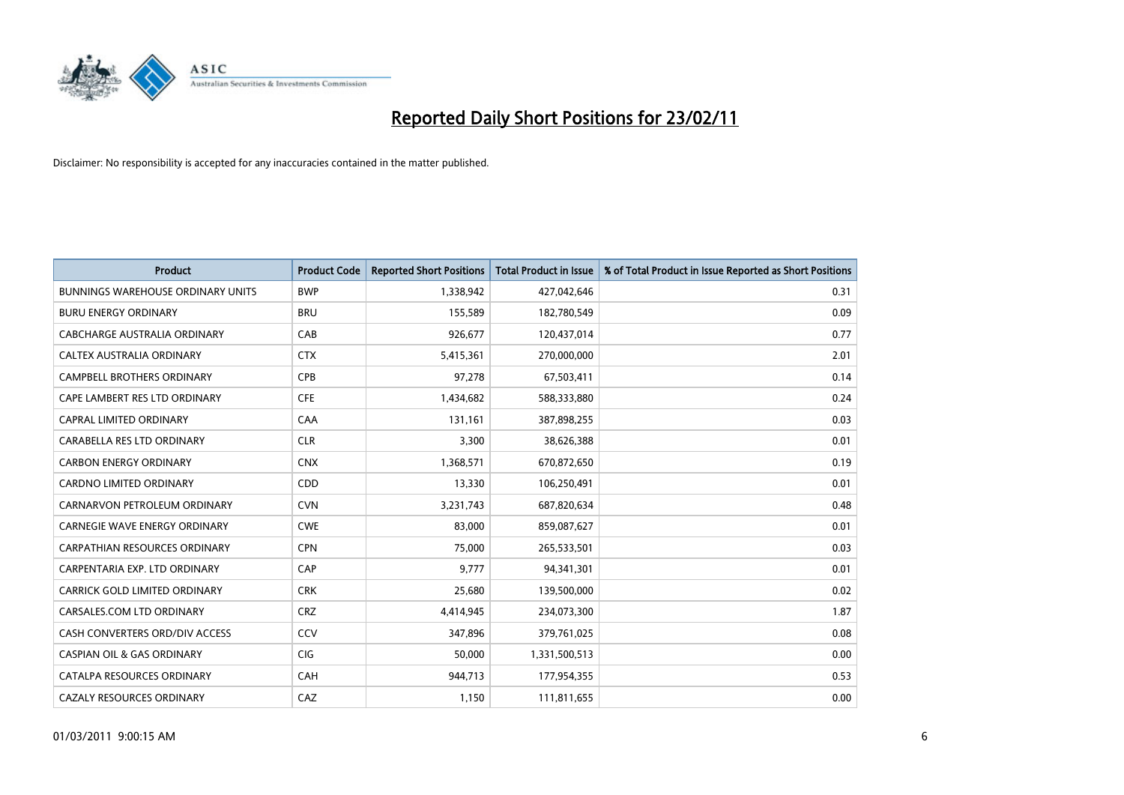

| Product                                  | <b>Product Code</b> | <b>Reported Short Positions</b> | <b>Total Product in Issue</b> | % of Total Product in Issue Reported as Short Positions |
|------------------------------------------|---------------------|---------------------------------|-------------------------------|---------------------------------------------------------|
| <b>BUNNINGS WAREHOUSE ORDINARY UNITS</b> | <b>BWP</b>          | 1,338,942                       | 427,042,646                   | 0.31                                                    |
| <b>BURU ENERGY ORDINARY</b>              | <b>BRU</b>          | 155,589                         | 182,780,549                   | 0.09                                                    |
| CABCHARGE AUSTRALIA ORDINARY             | CAB                 | 926,677                         | 120,437,014                   | 0.77                                                    |
| CALTEX AUSTRALIA ORDINARY                | <b>CTX</b>          | 5,415,361                       | 270,000,000                   | 2.01                                                    |
| <b>CAMPBELL BROTHERS ORDINARY</b>        | CPB                 | 97,278                          | 67,503,411                    | 0.14                                                    |
| CAPE LAMBERT RES LTD ORDINARY            | <b>CFE</b>          | 1,434,682                       | 588,333,880                   | 0.24                                                    |
| <b>CAPRAL LIMITED ORDINARY</b>           | CAA                 | 131,161                         | 387,898,255                   | 0.03                                                    |
| CARABELLA RES LTD ORDINARY               | <b>CLR</b>          | 3,300                           | 38,626,388                    | 0.01                                                    |
| <b>CARBON ENERGY ORDINARY</b>            | <b>CNX</b>          | 1,368,571                       | 670,872,650                   | 0.19                                                    |
| <b>CARDNO LIMITED ORDINARY</b>           | CDD                 | 13,330                          | 106,250,491                   | 0.01                                                    |
| CARNARVON PETROLEUM ORDINARY             | <b>CVN</b>          | 3,231,743                       | 687,820,634                   | 0.48                                                    |
| <b>CARNEGIE WAVE ENERGY ORDINARY</b>     | <b>CWE</b>          | 83,000                          | 859,087,627                   | 0.01                                                    |
| <b>CARPATHIAN RESOURCES ORDINARY</b>     | <b>CPN</b>          | 75,000                          | 265,533,501                   | 0.03                                                    |
| CARPENTARIA EXP. LTD ORDINARY            | CAP                 | 9.777                           | 94,341,301                    | 0.01                                                    |
| <b>CARRICK GOLD LIMITED ORDINARY</b>     | <b>CRK</b>          | 25,680                          | 139,500,000                   | 0.02                                                    |
| CARSALES.COM LTD ORDINARY                | <b>CRZ</b>          | 4,414,945                       | 234,073,300                   | 1.87                                                    |
| CASH CONVERTERS ORD/DIV ACCESS           | CCV                 | 347,896                         | 379,761,025                   | 0.08                                                    |
| <b>CASPIAN OIL &amp; GAS ORDINARY</b>    | CIG                 | 50,000                          | 1,331,500,513                 | 0.00                                                    |
| CATALPA RESOURCES ORDINARY               | CAH                 | 944,713                         | 177,954,355                   | 0.53                                                    |
| CAZALY RESOURCES ORDINARY                | CAZ                 | 1,150                           | 111,811,655                   | 0.00                                                    |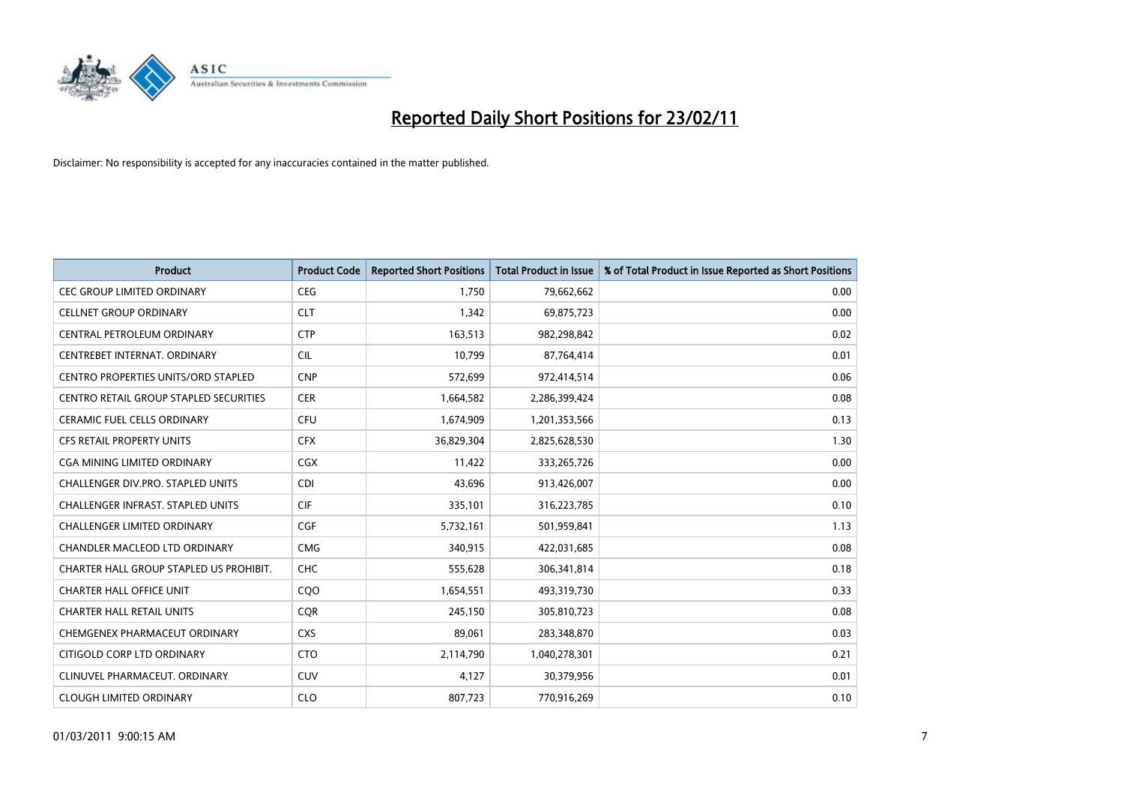

| <b>Product</b>                                | <b>Product Code</b> | <b>Reported Short Positions</b> | <b>Total Product in Issue</b> | % of Total Product in Issue Reported as Short Positions |
|-----------------------------------------------|---------------------|---------------------------------|-------------------------------|---------------------------------------------------------|
| <b>CEC GROUP LIMITED ORDINARY</b>             | <b>CEG</b>          | 1,750                           | 79,662,662                    | 0.00                                                    |
| <b>CELLNET GROUP ORDINARY</b>                 | <b>CLT</b>          | 1,342                           | 69,875,723                    | 0.00                                                    |
| CENTRAL PETROLEUM ORDINARY                    | <b>CTP</b>          | 163,513                         | 982,298,842                   | 0.02                                                    |
| CENTREBET INTERNAT, ORDINARY                  | <b>CIL</b>          | 10,799                          | 87,764,414                    | 0.01                                                    |
| <b>CENTRO PROPERTIES UNITS/ORD STAPLED</b>    | <b>CNP</b>          | 572,699                         | 972,414,514                   | 0.06                                                    |
| <b>CENTRO RETAIL GROUP STAPLED SECURITIES</b> | <b>CER</b>          | 1,664,582                       | 2,286,399,424                 | 0.08                                                    |
| CERAMIC FUEL CELLS ORDINARY                   | <b>CFU</b>          | 1,674,909                       | 1,201,353,566                 | 0.13                                                    |
| CFS RETAIL PROPERTY UNITS                     | <b>CFX</b>          | 36,829,304                      | 2,825,628,530                 | 1.30                                                    |
| CGA MINING LIMITED ORDINARY                   | <b>CGX</b>          | 11,422                          | 333,265,726                   | 0.00                                                    |
| <b>CHALLENGER DIV.PRO. STAPLED UNITS</b>      | <b>CDI</b>          | 43,696                          | 913,426,007                   | 0.00                                                    |
| CHALLENGER INFRAST. STAPLED UNITS             | <b>CIF</b>          | 335,101                         | 316,223,785                   | 0.10                                                    |
| <b>CHALLENGER LIMITED ORDINARY</b>            | <b>CGF</b>          | 5,732,161                       | 501,959,841                   | 1.13                                                    |
| CHANDLER MACLEOD LTD ORDINARY                 | <b>CMG</b>          | 340,915                         | 422,031,685                   | 0.08                                                    |
| CHARTER HALL GROUP STAPLED US PROHIBIT.       | <b>CHC</b>          | 555,628                         | 306,341,814                   | 0.18                                                    |
| <b>CHARTER HALL OFFICE UNIT</b>               | COO                 | 1,654,551                       | 493,319,730                   | 0.33                                                    |
| <b>CHARTER HALL RETAIL UNITS</b>              | <b>COR</b>          | 245,150                         | 305,810,723                   | 0.08                                                    |
| CHEMGENEX PHARMACEUT ORDINARY                 | <b>CXS</b>          | 89,061                          | 283,348,870                   | 0.03                                                    |
| CITIGOLD CORP LTD ORDINARY                    | <b>CTO</b>          | 2,114,790                       | 1,040,278,301                 | 0.21                                                    |
| CLINUVEL PHARMACEUT, ORDINARY                 | <b>CUV</b>          | 4,127                           | 30,379,956                    | 0.01                                                    |
| <b>CLOUGH LIMITED ORDINARY</b>                | <b>CLO</b>          | 807,723                         | 770,916,269                   | 0.10                                                    |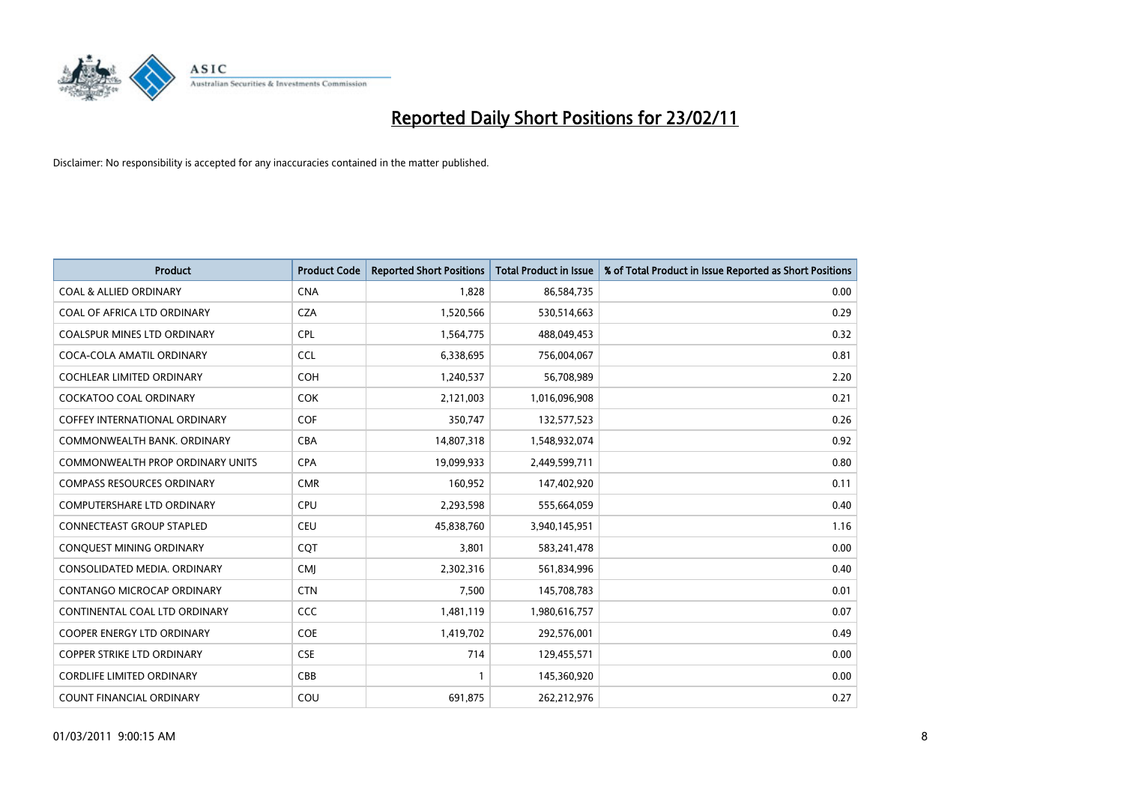

| <b>Product</b>                          | <b>Product Code</b> | <b>Reported Short Positions</b> | <b>Total Product in Issue</b> | % of Total Product in Issue Reported as Short Positions |
|-----------------------------------------|---------------------|---------------------------------|-------------------------------|---------------------------------------------------------|
| <b>COAL &amp; ALLIED ORDINARY</b>       | <b>CNA</b>          | 1,828                           | 86,584,735                    | 0.00                                                    |
| COAL OF AFRICA LTD ORDINARY             | <b>CZA</b>          | 1,520,566                       | 530,514,663                   | 0.29                                                    |
| <b>COALSPUR MINES LTD ORDINARY</b>      | <b>CPL</b>          | 1,564,775                       | 488,049,453                   | 0.32                                                    |
| COCA-COLA AMATIL ORDINARY               | <b>CCL</b>          | 6,338,695                       | 756,004,067                   | 0.81                                                    |
| <b>COCHLEAR LIMITED ORDINARY</b>        | <b>COH</b>          | 1,240,537                       | 56,708,989                    | 2.20                                                    |
| <b>COCKATOO COAL ORDINARY</b>           | <b>COK</b>          | 2,121,003                       | 1,016,096,908                 | 0.21                                                    |
| <b>COFFEY INTERNATIONAL ORDINARY</b>    | <b>COF</b>          | 350,747                         | 132,577,523                   | 0.26                                                    |
| COMMONWEALTH BANK, ORDINARY             | <b>CBA</b>          | 14,807,318                      | 1,548,932,074                 | 0.92                                                    |
| <b>COMMONWEALTH PROP ORDINARY UNITS</b> | <b>CPA</b>          | 19,099,933                      | 2,449,599,711                 | 0.80                                                    |
| <b>COMPASS RESOURCES ORDINARY</b>       | <b>CMR</b>          | 160,952                         | 147,402,920                   | 0.11                                                    |
| COMPUTERSHARE LTD ORDINARY              | <b>CPU</b>          | 2,293,598                       | 555,664,059                   | 0.40                                                    |
| <b>CONNECTEAST GROUP STAPLED</b>        | <b>CEU</b>          | 45,838,760                      | 3,940,145,951                 | 1.16                                                    |
| CONQUEST MINING ORDINARY                | COT                 | 3,801                           | 583,241,478                   | 0.00                                                    |
| CONSOLIDATED MEDIA, ORDINARY            | <b>CMI</b>          | 2,302,316                       | 561,834,996                   | 0.40                                                    |
| CONTANGO MICROCAP ORDINARY              | <b>CTN</b>          | 7,500                           | 145,708,783                   | 0.01                                                    |
| CONTINENTAL COAL LTD ORDINARY           | <b>CCC</b>          | 1,481,119                       | 1,980,616,757                 | 0.07                                                    |
| COOPER ENERGY LTD ORDINARY              | <b>COE</b>          | 1,419,702                       | 292,576,001                   | 0.49                                                    |
| COPPER STRIKE LTD ORDINARY              | <b>CSE</b>          | 714                             | 129,455,571                   | 0.00                                                    |
| <b>CORDLIFE LIMITED ORDINARY</b>        | CBB                 |                                 | 145,360,920                   | 0.00                                                    |
| COUNT FINANCIAL ORDINARY                | COU                 | 691,875                         | 262,212,976                   | 0.27                                                    |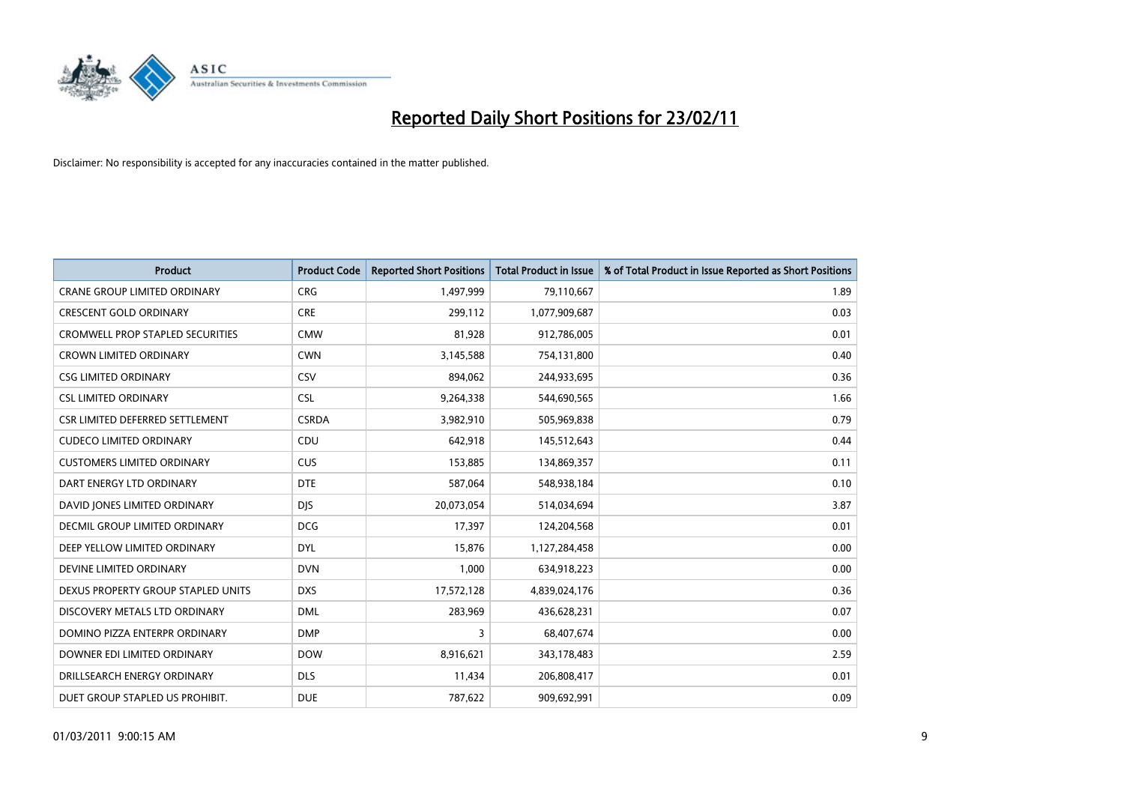

| Product                                 | <b>Product Code</b> | <b>Reported Short Positions</b> | <b>Total Product in Issue</b> | % of Total Product in Issue Reported as Short Positions |
|-----------------------------------------|---------------------|---------------------------------|-------------------------------|---------------------------------------------------------|
| <b>CRANE GROUP LIMITED ORDINARY</b>     | <b>CRG</b>          | 1,497,999                       | 79,110,667                    | 1.89                                                    |
| <b>CRESCENT GOLD ORDINARY</b>           | <b>CRE</b>          | 299,112                         | 1,077,909,687                 | 0.03                                                    |
| <b>CROMWELL PROP STAPLED SECURITIES</b> | <b>CMW</b>          | 81,928                          | 912,786,005                   | 0.01                                                    |
| <b>CROWN LIMITED ORDINARY</b>           | <b>CWN</b>          | 3,145,588                       | 754,131,800                   | 0.40                                                    |
| <b>CSG LIMITED ORDINARY</b>             | CSV                 | 894,062                         | 244,933,695                   | 0.36                                                    |
| <b>CSL LIMITED ORDINARY</b>             | <b>CSL</b>          | 9,264,338                       | 544,690,565                   | 1.66                                                    |
| CSR LIMITED DEFERRED SETTLEMENT         | <b>CSRDA</b>        | 3,982,910                       | 505,969,838                   | 0.79                                                    |
| <b>CUDECO LIMITED ORDINARY</b>          | CDU                 | 642,918                         | 145,512,643                   | 0.44                                                    |
| <b>CUSTOMERS LIMITED ORDINARY</b>       | <b>CUS</b>          | 153,885                         | 134,869,357                   | 0.11                                                    |
| DART ENERGY LTD ORDINARY                | <b>DTE</b>          | 587,064                         | 548,938,184                   | 0.10                                                    |
| DAVID JONES LIMITED ORDINARY            | <b>DJS</b>          | 20,073,054                      | 514,034,694                   | 3.87                                                    |
| <b>DECMIL GROUP LIMITED ORDINARY</b>    | <b>DCG</b>          | 17,397                          | 124,204,568                   | 0.01                                                    |
| DEEP YELLOW LIMITED ORDINARY            | <b>DYL</b>          | 15,876                          | 1,127,284,458                 | 0.00                                                    |
| DEVINE LIMITED ORDINARY                 | <b>DVN</b>          | 1,000                           | 634,918,223                   | 0.00                                                    |
| DEXUS PROPERTY GROUP STAPLED UNITS      | <b>DXS</b>          | 17,572,128                      | 4,839,024,176                 | 0.36                                                    |
| DISCOVERY METALS LTD ORDINARY           | <b>DML</b>          | 283,969                         | 436,628,231                   | 0.07                                                    |
| DOMINO PIZZA ENTERPR ORDINARY           | <b>DMP</b>          | 3                               | 68,407,674                    | 0.00                                                    |
| DOWNER EDI LIMITED ORDINARY             | <b>DOW</b>          | 8,916,621                       | 343,178,483                   | 2.59                                                    |
| DRILLSEARCH ENERGY ORDINARY             | <b>DLS</b>          | 11,434                          | 206,808,417                   | 0.01                                                    |
| DUET GROUP STAPLED US PROHIBIT.         | <b>DUE</b>          | 787,622                         | 909,692,991                   | 0.09                                                    |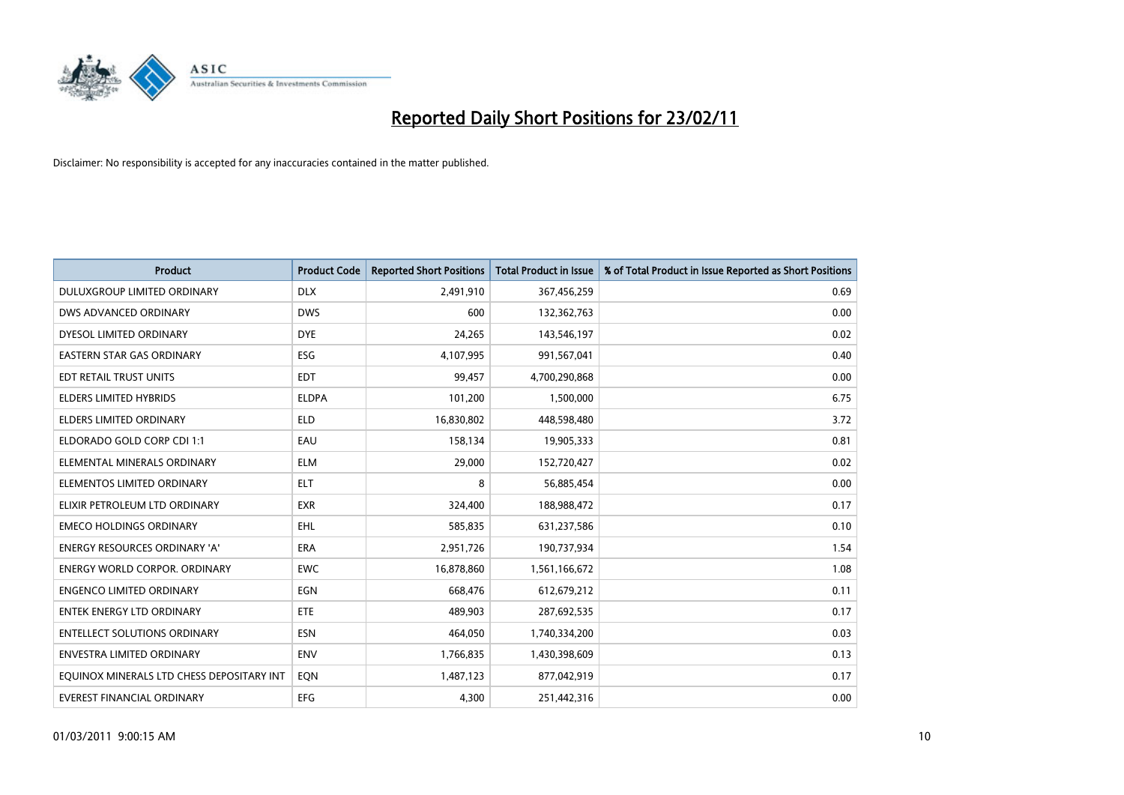

| <b>Product</b>                            | <b>Product Code</b> | <b>Reported Short Positions</b> | Total Product in Issue | % of Total Product in Issue Reported as Short Positions |
|-------------------------------------------|---------------------|---------------------------------|------------------------|---------------------------------------------------------|
| DULUXGROUP LIMITED ORDINARY               | <b>DLX</b>          | 2,491,910                       | 367,456,259            | 0.69                                                    |
| DWS ADVANCED ORDINARY                     | <b>DWS</b>          | 600                             | 132,362,763            | 0.00                                                    |
| DYESOL LIMITED ORDINARY                   | <b>DYE</b>          | 24,265                          | 143,546,197            | 0.02                                                    |
| <b>EASTERN STAR GAS ORDINARY</b>          | ESG                 | 4,107,995                       | 991,567,041            | 0.40                                                    |
| EDT RETAIL TRUST UNITS                    | <b>EDT</b>          | 99,457                          | 4,700,290,868          | 0.00                                                    |
| <b>ELDERS LIMITED HYBRIDS</b>             | <b>ELDPA</b>        | 101,200                         | 1,500,000              | 6.75                                                    |
| <b>ELDERS LIMITED ORDINARY</b>            | <b>ELD</b>          | 16,830,802                      | 448,598,480            | 3.72                                                    |
| ELDORADO GOLD CORP CDI 1:1                | EAU                 | 158,134                         | 19,905,333             | 0.81                                                    |
| ELEMENTAL MINERALS ORDINARY               | <b>ELM</b>          | 29,000                          | 152,720,427            | 0.02                                                    |
| ELEMENTOS LIMITED ORDINARY                | <b>ELT</b>          | 8                               | 56,885,454             | 0.00                                                    |
| ELIXIR PETROLEUM LTD ORDINARY             | <b>EXR</b>          | 324,400                         | 188,988,472            | 0.17                                                    |
| <b>EMECO HOLDINGS ORDINARY</b>            | <b>EHL</b>          | 585,835                         | 631,237,586            | 0.10                                                    |
| <b>ENERGY RESOURCES ORDINARY 'A'</b>      | <b>ERA</b>          | 2,951,726                       | 190,737,934            | 1.54                                                    |
| <b>ENERGY WORLD CORPOR, ORDINARY</b>      | <b>EWC</b>          | 16,878,860                      | 1,561,166,672          | 1.08                                                    |
| <b>ENGENCO LIMITED ORDINARY</b>           | EGN                 | 668,476                         | 612,679,212            | 0.11                                                    |
| <b>ENTEK ENERGY LTD ORDINARY</b>          | ETE                 | 489.903                         | 287,692,535            | 0.17                                                    |
| <b>ENTELLECT SOLUTIONS ORDINARY</b>       | <b>ESN</b>          | 464,050                         | 1,740,334,200          | 0.03                                                    |
| <b>ENVESTRA LIMITED ORDINARY</b>          | <b>ENV</b>          | 1,766,835                       | 1,430,398,609          | 0.13                                                    |
| EQUINOX MINERALS LTD CHESS DEPOSITARY INT | EON                 | 1,487,123                       | 877,042,919            | 0.17                                                    |
| EVEREST FINANCIAL ORDINARY                | <b>EFG</b>          | 4,300                           | 251,442,316            | 0.00                                                    |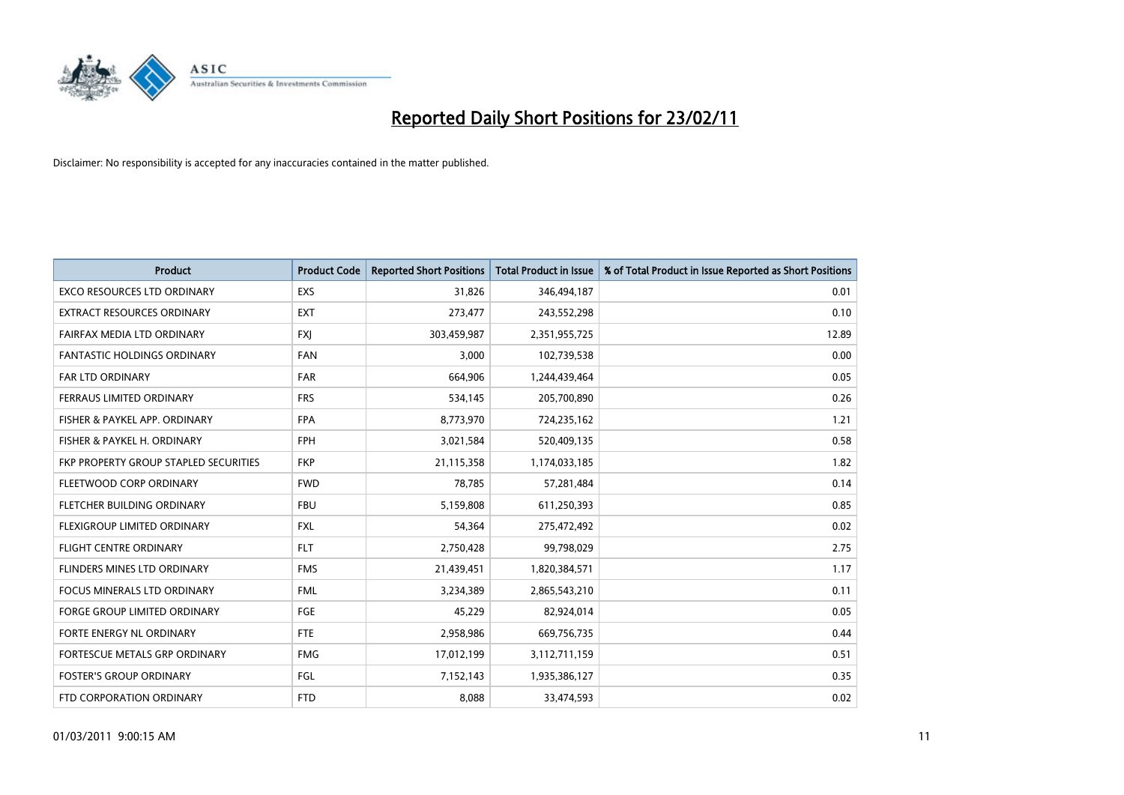

| Product                               | <b>Product Code</b> | <b>Reported Short Positions</b> | Total Product in Issue | % of Total Product in Issue Reported as Short Positions |
|---------------------------------------|---------------------|---------------------------------|------------------------|---------------------------------------------------------|
| <b>EXCO RESOURCES LTD ORDINARY</b>    | EXS                 | 31,826                          | 346,494,187            | 0.01                                                    |
| <b>EXTRACT RESOURCES ORDINARY</b>     | <b>EXT</b>          | 273,477                         | 243,552,298            | 0.10                                                    |
| FAIRFAX MEDIA LTD ORDINARY            | <b>FXJ</b>          | 303,459,987                     | 2,351,955,725          | 12.89                                                   |
| FANTASTIC HOLDINGS ORDINARY           | <b>FAN</b>          | 3,000                           | 102,739,538            | 0.00                                                    |
| <b>FAR LTD ORDINARY</b>               | <b>FAR</b>          | 664,906                         | 1,244,439,464          | 0.05                                                    |
| FERRAUS LIMITED ORDINARY              | <b>FRS</b>          | 534,145                         | 205,700,890            | 0.26                                                    |
| FISHER & PAYKEL APP. ORDINARY         | <b>FPA</b>          | 8,773,970                       | 724,235,162            | 1.21                                                    |
| FISHER & PAYKEL H. ORDINARY           | <b>FPH</b>          | 3,021,584                       | 520,409,135            | 0.58                                                    |
| FKP PROPERTY GROUP STAPLED SECURITIES | <b>FKP</b>          | 21,115,358                      | 1,174,033,185          | 1.82                                                    |
| FLEETWOOD CORP ORDINARY               | <b>FWD</b>          | 78.785                          | 57,281,484             | 0.14                                                    |
| FLETCHER BUILDING ORDINARY            | <b>FBU</b>          | 5,159,808                       | 611,250,393            | 0.85                                                    |
| FLEXIGROUP LIMITED ORDINARY           | <b>FXL</b>          | 54,364                          | 275,472,492            | 0.02                                                    |
| <b>FLIGHT CENTRE ORDINARY</b>         | <b>FLT</b>          | 2,750,428                       | 99,798,029             | 2.75                                                    |
| FLINDERS MINES LTD ORDINARY           | <b>FMS</b>          | 21,439,451                      | 1,820,384,571          | 1.17                                                    |
| <b>FOCUS MINERALS LTD ORDINARY</b>    | <b>FML</b>          | 3,234,389                       | 2,865,543,210          | 0.11                                                    |
| <b>FORGE GROUP LIMITED ORDINARY</b>   | FGE                 | 45,229                          | 82,924,014             | 0.05                                                    |
| FORTE ENERGY NL ORDINARY              | <b>FTE</b>          | 2,958,986                       | 669,756,735            | 0.44                                                    |
| FORTESCUE METALS GRP ORDINARY         | <b>FMG</b>          | 17,012,199                      | 3,112,711,159          | 0.51                                                    |
| <b>FOSTER'S GROUP ORDINARY</b>        | <b>FGL</b>          | 7,152,143                       | 1,935,386,127          | 0.35                                                    |
| FTD CORPORATION ORDINARY              | <b>FTD</b>          | 8,088                           | 33,474,593             | 0.02                                                    |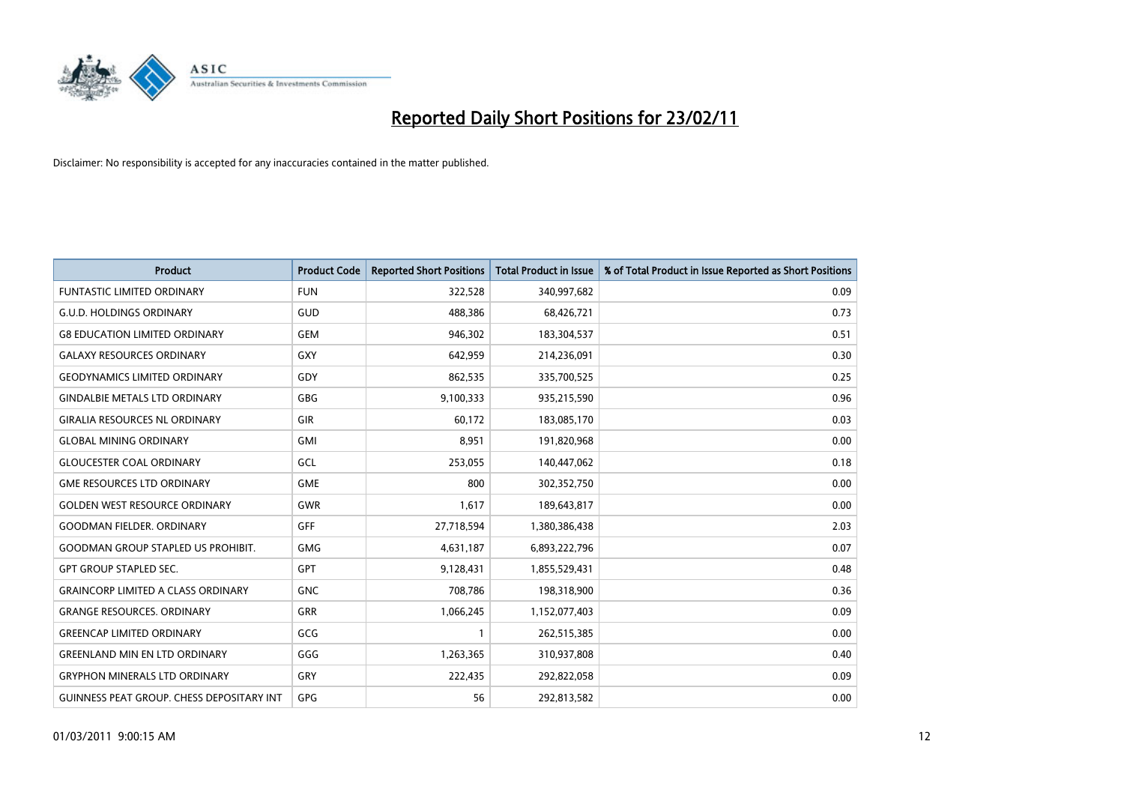

| <b>Product</b>                                   | <b>Product Code</b> | <b>Reported Short Positions</b> | <b>Total Product in Issue</b> | % of Total Product in Issue Reported as Short Positions |
|--------------------------------------------------|---------------------|---------------------------------|-------------------------------|---------------------------------------------------------|
| <b>FUNTASTIC LIMITED ORDINARY</b>                | <b>FUN</b>          | 322,528                         | 340,997,682                   | 0.09                                                    |
| <b>G.U.D. HOLDINGS ORDINARY</b>                  | GUD                 | 488,386                         | 68,426,721                    | 0.73                                                    |
| <b>G8 EDUCATION LIMITED ORDINARY</b>             | <b>GEM</b>          | 946,302                         | 183,304,537                   | 0.51                                                    |
| <b>GALAXY RESOURCES ORDINARY</b>                 | <b>GXY</b>          | 642,959                         | 214,236,091                   | 0.30                                                    |
| <b>GEODYNAMICS LIMITED ORDINARY</b>              | GDY                 | 862,535                         | 335,700,525                   | 0.25                                                    |
| <b>GINDALBIE METALS LTD ORDINARY</b>             | <b>GBG</b>          | 9,100,333                       | 935,215,590                   | 0.96                                                    |
| <b>GIRALIA RESOURCES NL ORDINARY</b>             | GIR                 | 60,172                          | 183,085,170                   | 0.03                                                    |
| <b>GLOBAL MINING ORDINARY</b>                    | GMI                 | 8,951                           | 191,820,968                   | 0.00                                                    |
| <b>GLOUCESTER COAL ORDINARY</b>                  | GCL                 | 253,055                         | 140,447,062                   | 0.18                                                    |
| <b>GME RESOURCES LTD ORDINARY</b>                | <b>GME</b>          | 800                             | 302,352,750                   | 0.00                                                    |
| <b>GOLDEN WEST RESOURCE ORDINARY</b>             | <b>GWR</b>          | 1,617                           | 189,643,817                   | 0.00                                                    |
| <b>GOODMAN FIELDER, ORDINARY</b>                 | <b>GFF</b>          | 27,718,594                      | 1,380,386,438                 | 2.03                                                    |
| <b>GOODMAN GROUP STAPLED US PROHIBIT.</b>        | <b>GMG</b>          | 4,631,187                       | 6,893,222,796                 | 0.07                                                    |
| <b>GPT GROUP STAPLED SEC.</b>                    | <b>GPT</b>          | 9,128,431                       | 1,855,529,431                 | 0.48                                                    |
| <b>GRAINCORP LIMITED A CLASS ORDINARY</b>        | <b>GNC</b>          | 708,786                         | 198,318,900                   | 0.36                                                    |
| <b>GRANGE RESOURCES. ORDINARY</b>                | GRR                 | 1,066,245                       | 1,152,077,403                 | 0.09                                                    |
| <b>GREENCAP LIMITED ORDINARY</b>                 | GCG                 |                                 | 262,515,385                   | 0.00                                                    |
| <b>GREENLAND MIN EN LTD ORDINARY</b>             | GGG                 | 1,263,365                       | 310,937,808                   | 0.40                                                    |
| <b>GRYPHON MINERALS LTD ORDINARY</b>             | GRY                 | 222,435                         | 292,822,058                   | 0.09                                                    |
| <b>GUINNESS PEAT GROUP. CHESS DEPOSITARY INT</b> | <b>GPG</b>          | 56                              | 292,813,582                   | 0.00                                                    |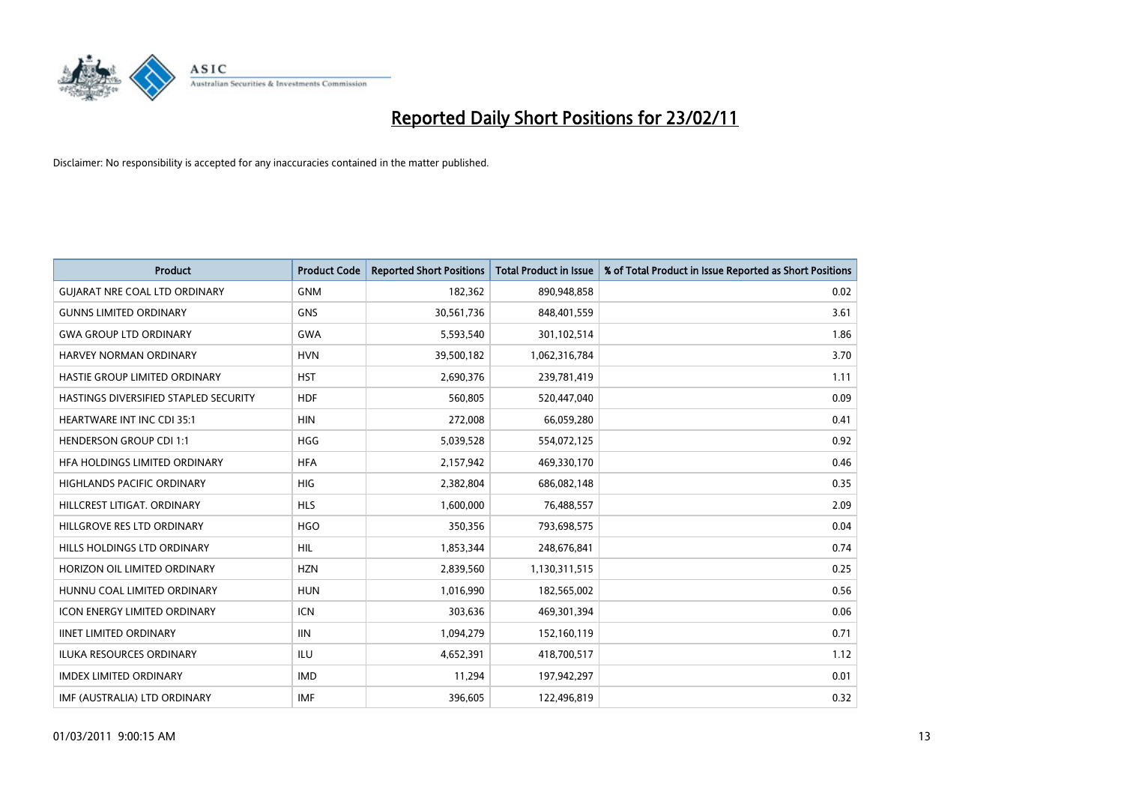

| Product                               | <b>Product Code</b> | <b>Reported Short Positions</b> | <b>Total Product in Issue</b> | % of Total Product in Issue Reported as Short Positions |
|---------------------------------------|---------------------|---------------------------------|-------------------------------|---------------------------------------------------------|
| <b>GUIARAT NRE COAL LTD ORDINARY</b>  | <b>GNM</b>          | 182,362                         | 890,948,858                   | 0.02                                                    |
| <b>GUNNS LIMITED ORDINARY</b>         | <b>GNS</b>          | 30,561,736                      | 848,401,559                   | 3.61                                                    |
| <b>GWA GROUP LTD ORDINARY</b>         | <b>GWA</b>          | 5,593,540                       | 301,102,514                   | 1.86                                                    |
| HARVEY NORMAN ORDINARY                | <b>HVN</b>          | 39,500,182                      | 1,062,316,784                 | 3.70                                                    |
| HASTIE GROUP LIMITED ORDINARY         | <b>HST</b>          | 2,690,376                       | 239,781,419                   | 1.11                                                    |
| HASTINGS DIVERSIFIED STAPLED SECURITY | <b>HDF</b>          | 560.805                         | 520,447,040                   | 0.09                                                    |
| <b>HEARTWARE INT INC CDI 35:1</b>     | <b>HIN</b>          | 272,008                         | 66,059,280                    | 0.41                                                    |
| <b>HENDERSON GROUP CDI 1:1</b>        | <b>HGG</b>          | 5,039,528                       | 554,072,125                   | 0.92                                                    |
| HFA HOLDINGS LIMITED ORDINARY         | <b>HFA</b>          | 2,157,942                       | 469,330,170                   | 0.46                                                    |
| <b>HIGHLANDS PACIFIC ORDINARY</b>     | <b>HIG</b>          | 2,382,804                       | 686,082,148                   | 0.35                                                    |
| HILLCREST LITIGAT, ORDINARY           | <b>HLS</b>          | 1,600,000                       | 76,488,557                    | 2.09                                                    |
| HILLGROVE RES LTD ORDINARY            | <b>HGO</b>          | 350,356                         | 793,698,575                   | 0.04                                                    |
| HILLS HOLDINGS LTD ORDINARY           | <b>HIL</b>          | 1,853,344                       | 248,676,841                   | 0.74                                                    |
| HORIZON OIL LIMITED ORDINARY          | <b>HZN</b>          | 2,839,560                       | 1,130,311,515                 | 0.25                                                    |
| HUNNU COAL LIMITED ORDINARY           | <b>HUN</b>          | 1,016,990                       | 182,565,002                   | 0.56                                                    |
| <b>ICON ENERGY LIMITED ORDINARY</b>   | <b>ICN</b>          | 303,636                         | 469,301,394                   | 0.06                                                    |
| <b>IINET LIMITED ORDINARY</b>         | <b>IIN</b>          | 1,094,279                       | 152,160,119                   | 0.71                                                    |
| ILUKA RESOURCES ORDINARY              | ILU                 | 4,652,391                       | 418,700,517                   | 1.12                                                    |
| <b>IMDEX LIMITED ORDINARY</b>         | <b>IMD</b>          | 11,294                          | 197,942,297                   | 0.01                                                    |
| IMF (AUSTRALIA) LTD ORDINARY          | <b>IMF</b>          | 396,605                         | 122,496,819                   | 0.32                                                    |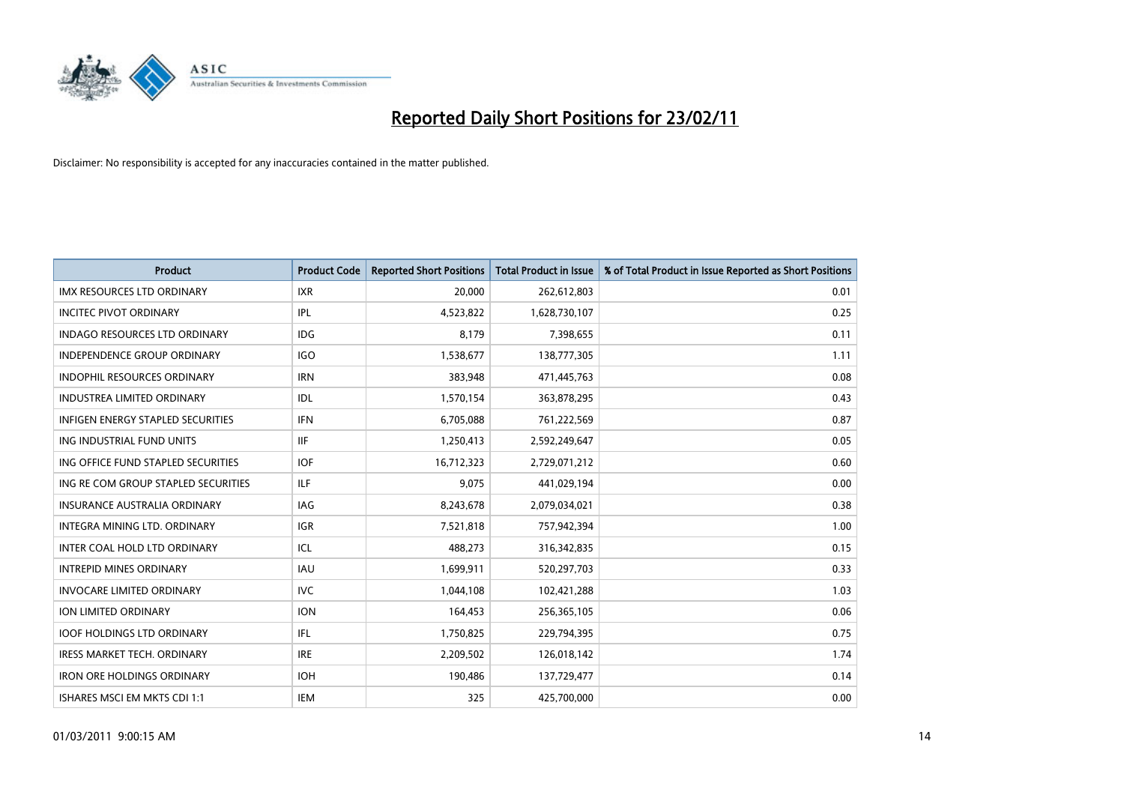

| Product                                  | <b>Product Code</b> | <b>Reported Short Positions</b> | <b>Total Product in Issue</b> | % of Total Product in Issue Reported as Short Positions |
|------------------------------------------|---------------------|---------------------------------|-------------------------------|---------------------------------------------------------|
| <b>IMX RESOURCES LTD ORDINARY</b>        | <b>IXR</b>          | 20,000                          | 262,612,803                   | 0.01                                                    |
| <b>INCITEC PIVOT ORDINARY</b>            | <b>IPL</b>          | 4,523,822                       | 1,628,730,107                 | 0.25                                                    |
| <b>INDAGO RESOURCES LTD ORDINARY</b>     | <b>IDG</b>          | 8,179                           | 7,398,655                     | 0.11                                                    |
| INDEPENDENCE GROUP ORDINARY              | <b>IGO</b>          | 1,538,677                       | 138,777,305                   | 1.11                                                    |
| <b>INDOPHIL RESOURCES ORDINARY</b>       | <b>IRN</b>          | 383,948                         | 471,445,763                   | 0.08                                                    |
| <b>INDUSTREA LIMITED ORDINARY</b>        | IDL                 | 1,570,154                       | 363,878,295                   | 0.43                                                    |
| <b>INFIGEN ENERGY STAPLED SECURITIES</b> | <b>IFN</b>          | 6,705,088                       | 761,222,569                   | 0.87                                                    |
| ING INDUSTRIAL FUND UNITS                | <b>IIF</b>          | 1,250,413                       | 2,592,249,647                 | 0.05                                                    |
| ING OFFICE FUND STAPLED SECURITIES       | <b>IOF</b>          | 16,712,323                      | 2,729,071,212                 | 0.60                                                    |
| ING RE COM GROUP STAPLED SECURITIES      | <b>ILF</b>          | 9,075                           | 441,029,194                   | 0.00                                                    |
| <b>INSURANCE AUSTRALIA ORDINARY</b>      | IAG                 | 8,243,678                       | 2,079,034,021                 | 0.38                                                    |
| <b>INTEGRA MINING LTD, ORDINARY</b>      | IGR                 | 7,521,818                       | 757,942,394                   | 1.00                                                    |
| INTER COAL HOLD LTD ORDINARY             | ICL                 | 488,273                         | 316, 342, 835                 | 0.15                                                    |
| <b>INTREPID MINES ORDINARY</b>           | <b>IAU</b>          | 1,699,911                       | 520,297,703                   | 0.33                                                    |
| <b>INVOCARE LIMITED ORDINARY</b>         | <b>IVC</b>          | 1,044,108                       | 102,421,288                   | 1.03                                                    |
| ION LIMITED ORDINARY                     | <b>ION</b>          | 164,453                         | 256,365,105                   | 0.06                                                    |
| <b>IOOF HOLDINGS LTD ORDINARY</b>        | <b>IFL</b>          | 1,750,825                       | 229,794,395                   | 0.75                                                    |
| <b>IRESS MARKET TECH. ORDINARY</b>       | <b>IRE</b>          | 2,209,502                       | 126,018,142                   | 1.74                                                    |
| <b>IRON ORE HOLDINGS ORDINARY</b>        | <b>IOH</b>          | 190,486                         | 137,729,477                   | 0.14                                                    |
| ISHARES MSCI EM MKTS CDI 1:1             | <b>IEM</b>          | 325                             | 425,700,000                   | 0.00                                                    |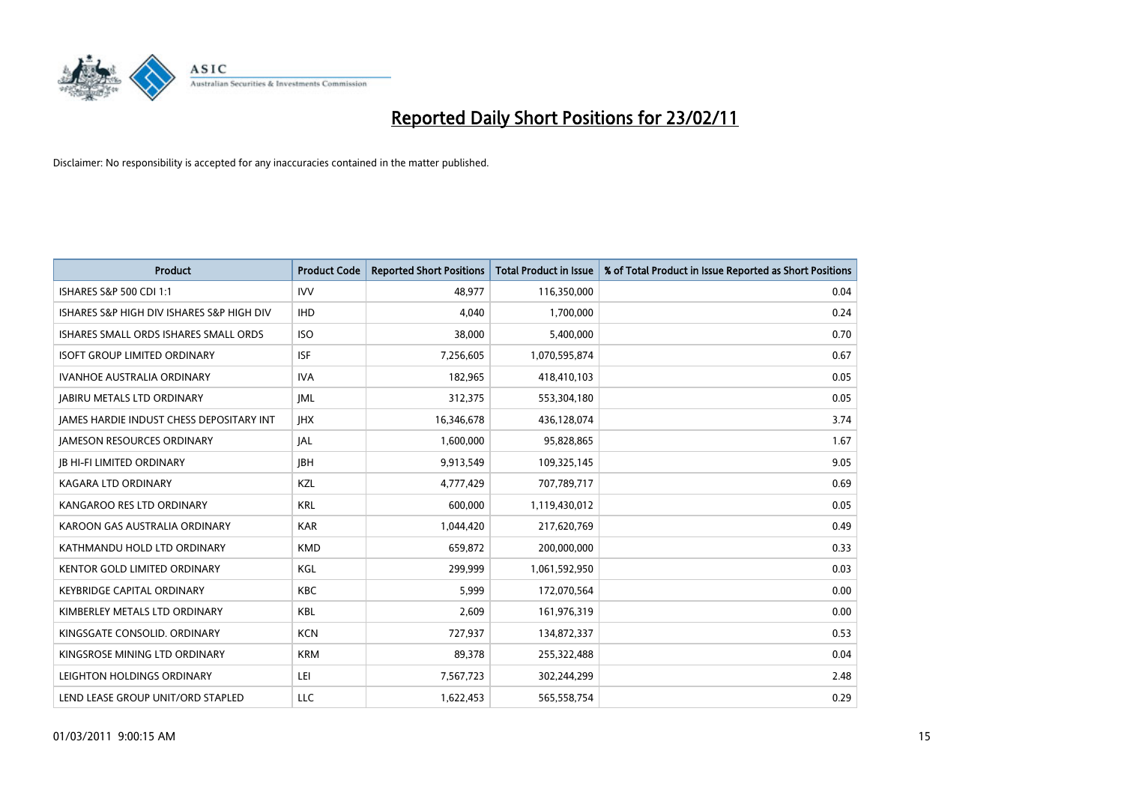

| <b>Product</b>                            | <b>Product Code</b> | <b>Reported Short Positions</b> | <b>Total Product in Issue</b> | % of Total Product in Issue Reported as Short Positions |
|-------------------------------------------|---------------------|---------------------------------|-------------------------------|---------------------------------------------------------|
| ISHARES S&P 500 CDI 1:1                   | <b>IVV</b>          | 48,977                          | 116,350,000                   | 0.04                                                    |
| ISHARES S&P HIGH DIV ISHARES S&P HIGH DIV | <b>IHD</b>          | 4,040                           | 1,700,000                     | 0.24                                                    |
| ISHARES SMALL ORDS ISHARES SMALL ORDS     | <b>ISO</b>          | 38,000                          | 5,400,000                     | 0.70                                                    |
| <b>ISOFT GROUP LIMITED ORDINARY</b>       | <b>ISF</b>          | 7,256,605                       | 1,070,595,874                 | 0.67                                                    |
| <b>IVANHOE AUSTRALIA ORDINARY</b>         | <b>IVA</b>          | 182,965                         | 418,410,103                   | 0.05                                                    |
| <b>JABIRU METALS LTD ORDINARY</b>         | <b>IML</b>          | 312,375                         | 553,304,180                   | 0.05                                                    |
| JAMES HARDIE INDUST CHESS DEPOSITARY INT  | <b>IHX</b>          | 16,346,678                      | 436,128,074                   | 3.74                                                    |
| <b>JAMESON RESOURCES ORDINARY</b>         | <b>JAL</b>          | 1,600,000                       | 95,828,865                    | 1.67                                                    |
| <b>JB HI-FI LIMITED ORDINARY</b>          | <b>IBH</b>          | 9,913,549                       | 109,325,145                   | 9.05                                                    |
| <b>KAGARA LTD ORDINARY</b>                | KZL                 | 4,777,429                       | 707,789,717                   | 0.69                                                    |
| KANGAROO RES LTD ORDINARY                 | <b>KRL</b>          | 600,000                         | 1,119,430,012                 | 0.05                                                    |
| KAROON GAS AUSTRALIA ORDINARY             | <b>KAR</b>          | 1,044,420                       | 217,620,769                   | 0.49                                                    |
| KATHMANDU HOLD LTD ORDINARY               | <b>KMD</b>          | 659,872                         | 200,000,000                   | 0.33                                                    |
| <b>KENTOR GOLD LIMITED ORDINARY</b>       | KGL                 | 299,999                         | 1,061,592,950                 | 0.03                                                    |
| <b>KEYBRIDGE CAPITAL ORDINARY</b>         | <b>KBC</b>          | 5,999                           | 172,070,564                   | 0.00                                                    |
| KIMBERLEY METALS LTD ORDINARY             | <b>KBL</b>          | 2,609                           | 161,976,319                   | 0.00                                                    |
| KINGSGATE CONSOLID, ORDINARY              | <b>KCN</b>          | 727,937                         | 134,872,337                   | 0.53                                                    |
| KINGSROSE MINING LTD ORDINARY             | <b>KRM</b>          | 89,378                          | 255,322,488                   | 0.04                                                    |
| LEIGHTON HOLDINGS ORDINARY                | LEI                 | 7,567,723                       | 302,244,299                   | 2.48                                                    |
| LEND LEASE GROUP UNIT/ORD STAPLED         | LLC                 | 1.622.453                       | 565,558,754                   | 0.29                                                    |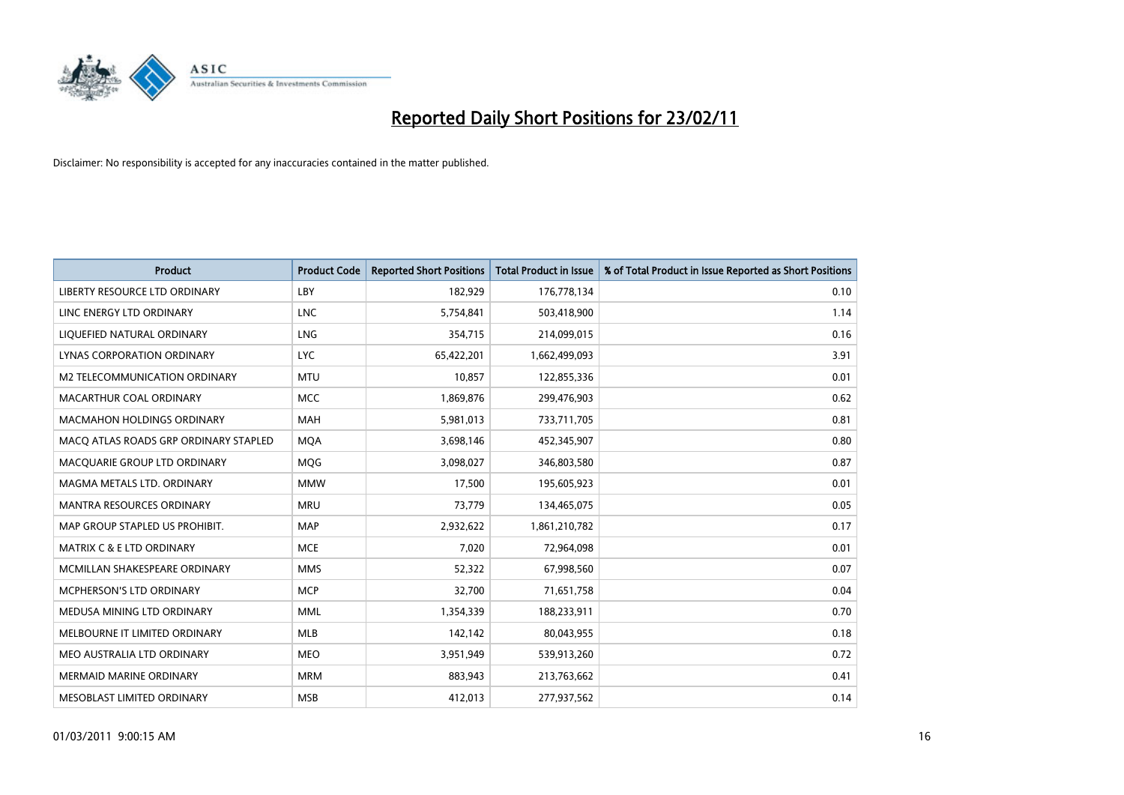

| Product                               | <b>Product Code</b> | <b>Reported Short Positions</b> | Total Product in Issue | % of Total Product in Issue Reported as Short Positions |
|---------------------------------------|---------------------|---------------------------------|------------------------|---------------------------------------------------------|
| LIBERTY RESOURCE LTD ORDINARY         | LBY                 | 182,929                         | 176,778,134            | 0.10                                                    |
| LINC ENERGY LTD ORDINARY              | <b>LNC</b>          | 5,754,841                       | 503,418,900            | 1.14                                                    |
| LIQUEFIED NATURAL ORDINARY            | <b>LNG</b>          | 354,715                         | 214,099,015            | 0.16                                                    |
| LYNAS CORPORATION ORDINARY            | <b>LYC</b>          | 65,422,201                      | 1,662,499,093          | 3.91                                                    |
| M2 TELECOMMUNICATION ORDINARY         | <b>MTU</b>          | 10,857                          | 122,855,336            | 0.01                                                    |
| MACARTHUR COAL ORDINARY               | <b>MCC</b>          | 1,869,876                       | 299,476,903            | 0.62                                                    |
| <b>MACMAHON HOLDINGS ORDINARY</b>     | <b>MAH</b>          | 5,981,013                       | 733,711,705            | 0.81                                                    |
| MACO ATLAS ROADS GRP ORDINARY STAPLED | <b>MQA</b>          | 3,698,146                       | 452,345,907            | 0.80                                                    |
| MACQUARIE GROUP LTD ORDINARY          | <b>MOG</b>          | 3,098,027                       | 346,803,580            | 0.87                                                    |
| MAGMA METALS LTD. ORDINARY            | <b>MMW</b>          | 17,500                          | 195,605,923            | 0.01                                                    |
| MANTRA RESOURCES ORDINARY             | <b>MRU</b>          | 73,779                          | 134,465,075            | 0.05                                                    |
| MAP GROUP STAPLED US PROHIBIT.        | <b>MAP</b>          | 2,932,622                       | 1,861,210,782          | 0.17                                                    |
| <b>MATRIX C &amp; E LTD ORDINARY</b>  | <b>MCE</b>          | 7,020                           | 72,964,098             | 0.01                                                    |
| MCMILLAN SHAKESPEARE ORDINARY         | <b>MMS</b>          | 52,322                          | 67,998,560             | 0.07                                                    |
| <b>MCPHERSON'S LTD ORDINARY</b>       | <b>MCP</b>          | 32,700                          | 71,651,758             | 0.04                                                    |
| MEDUSA MINING LTD ORDINARY            | <b>MML</b>          | 1,354,339                       | 188,233,911            | 0.70                                                    |
| MELBOURNE IT LIMITED ORDINARY         | <b>MLB</b>          | 142,142                         | 80,043,955             | 0.18                                                    |
| MEO AUSTRALIA LTD ORDINARY            | <b>MEO</b>          | 3,951,949                       | 539,913,260            | 0.72                                                    |
| <b>MERMAID MARINE ORDINARY</b>        | <b>MRM</b>          | 883,943                         | 213,763,662            | 0.41                                                    |
| MESOBLAST LIMITED ORDINARY            | <b>MSB</b>          | 412,013                         | 277,937,562            | 0.14                                                    |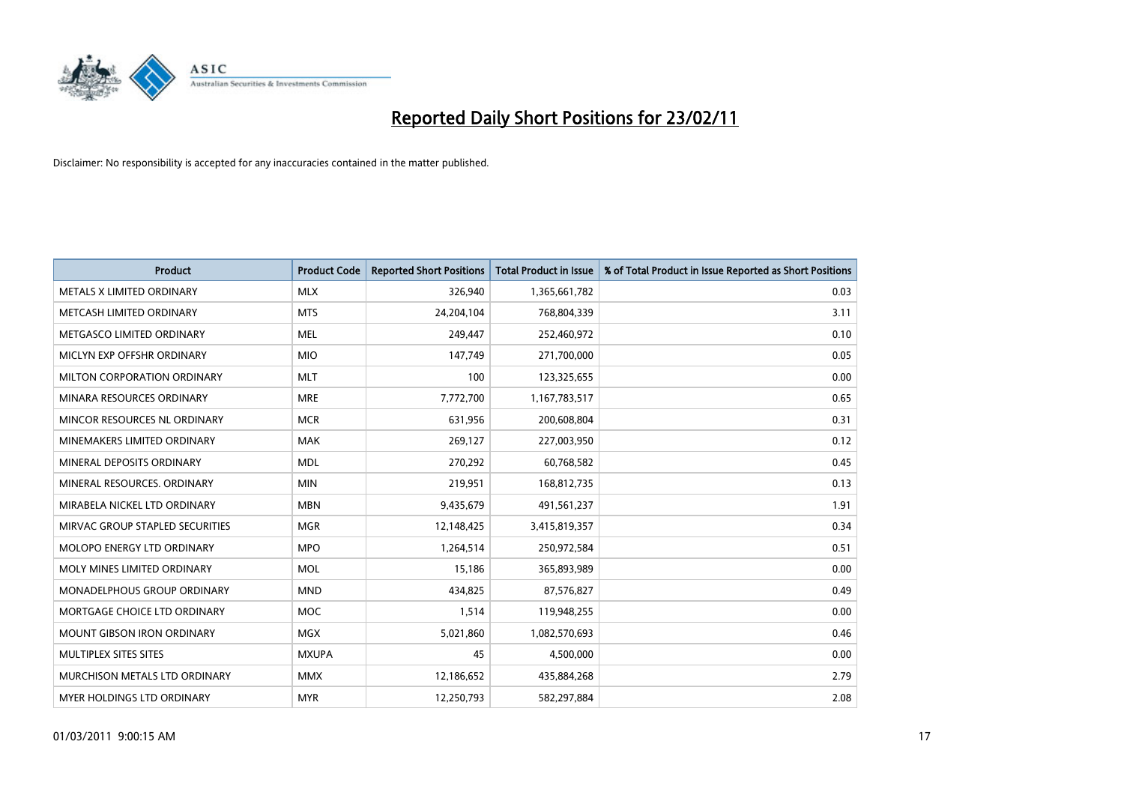

| <b>Product</b>                    | <b>Product Code</b> | <b>Reported Short Positions</b> | <b>Total Product in Issue</b> | % of Total Product in Issue Reported as Short Positions |
|-----------------------------------|---------------------|---------------------------------|-------------------------------|---------------------------------------------------------|
| METALS X LIMITED ORDINARY         | <b>MLX</b>          | 326,940                         | 1,365,661,782                 | 0.03                                                    |
| METCASH LIMITED ORDINARY          | <b>MTS</b>          | 24,204,104                      | 768,804,339                   | 3.11                                                    |
| METGASCO LIMITED ORDINARY         | <b>MEL</b>          | 249,447                         | 252,460,972                   | 0.10                                                    |
| MICLYN EXP OFFSHR ORDINARY        | <b>MIO</b>          | 147,749                         | 271,700,000                   | 0.05                                                    |
| MILTON CORPORATION ORDINARY       | <b>MLT</b>          | 100                             | 123,325,655                   | 0.00                                                    |
| MINARA RESOURCES ORDINARY         | <b>MRE</b>          | 7,772,700                       | 1,167,783,517                 | 0.65                                                    |
| MINCOR RESOURCES NL ORDINARY      | <b>MCR</b>          | 631,956                         | 200,608,804                   | 0.31                                                    |
| MINEMAKERS LIMITED ORDINARY       | <b>MAK</b>          | 269,127                         | 227,003,950                   | 0.12                                                    |
| MINERAL DEPOSITS ORDINARY         | <b>MDL</b>          | 270,292                         | 60,768,582                    | 0.45                                                    |
| MINERAL RESOURCES, ORDINARY       | <b>MIN</b>          | 219,951                         | 168,812,735                   | 0.13                                                    |
| MIRABELA NICKEL LTD ORDINARY      | <b>MBN</b>          | 9,435,679                       | 491,561,237                   | 1.91                                                    |
| MIRVAC GROUP STAPLED SECURITIES   | <b>MGR</b>          | 12,148,425                      | 3,415,819,357                 | 0.34                                                    |
| <b>MOLOPO ENERGY LTD ORDINARY</b> | <b>MPO</b>          | 1,264,514                       | 250,972,584                   | 0.51                                                    |
| MOLY MINES LIMITED ORDINARY       | <b>MOL</b>          | 15,186                          | 365,893,989                   | 0.00                                                    |
| MONADELPHOUS GROUP ORDINARY       | <b>MND</b>          | 434,825                         | 87,576,827                    | 0.49                                                    |
| MORTGAGE CHOICE LTD ORDINARY      | <b>MOC</b>          | 1,514                           | 119,948,255                   | 0.00                                                    |
| MOUNT GIBSON IRON ORDINARY        | <b>MGX</b>          | 5,021,860                       | 1,082,570,693                 | 0.46                                                    |
| MULTIPLEX SITES SITES             | <b>MXUPA</b>        | 45                              | 4,500,000                     | 0.00                                                    |
| MURCHISON METALS LTD ORDINARY     | <b>MMX</b>          | 12,186,652                      | 435,884,268                   | 2.79                                                    |
| MYER HOLDINGS LTD ORDINARY        | <b>MYR</b>          | 12,250,793                      | 582,297,884                   | 2.08                                                    |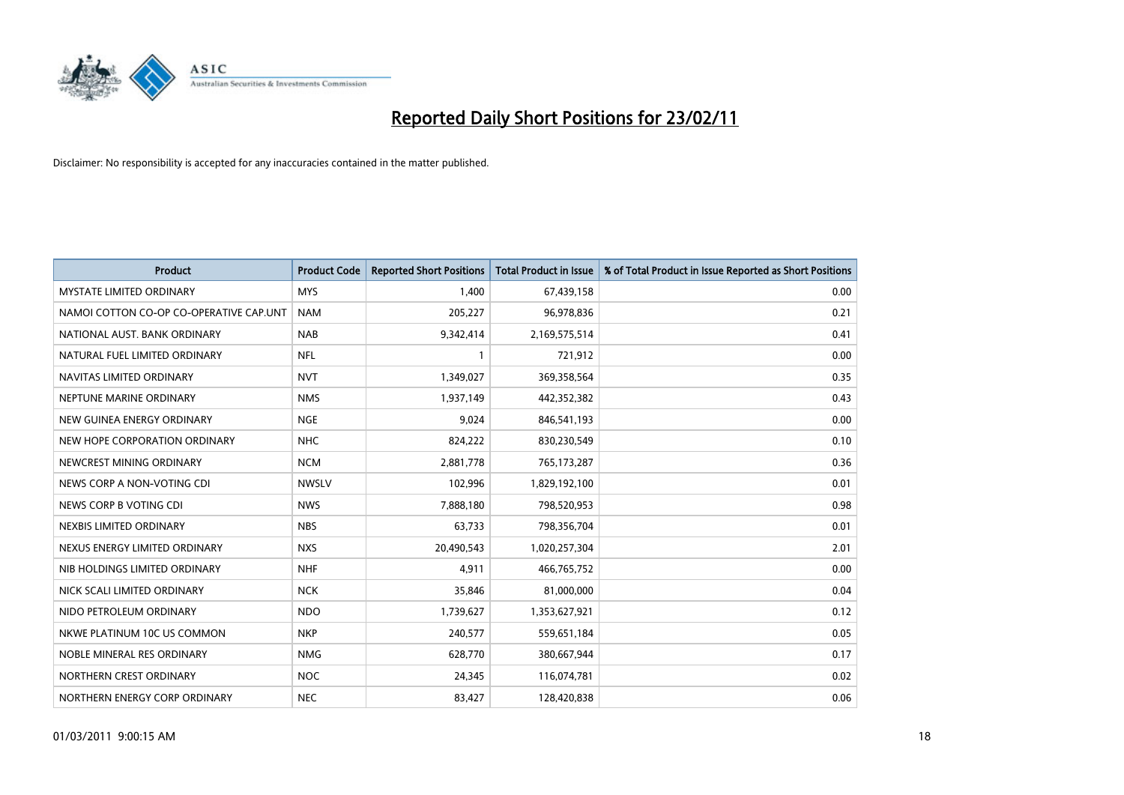

| Product                                 | <b>Product Code</b> | <b>Reported Short Positions</b> | <b>Total Product in Issue</b> | % of Total Product in Issue Reported as Short Positions |
|-----------------------------------------|---------------------|---------------------------------|-------------------------------|---------------------------------------------------------|
| <b>MYSTATE LIMITED ORDINARY</b>         | <b>MYS</b>          | 1,400                           | 67,439,158                    | 0.00                                                    |
| NAMOI COTTON CO-OP CO-OPERATIVE CAP.UNT | <b>NAM</b>          | 205,227                         | 96,978,836                    | 0.21                                                    |
| NATIONAL AUST. BANK ORDINARY            | <b>NAB</b>          | 9,342,414                       | 2,169,575,514                 | 0.41                                                    |
| NATURAL FUEL LIMITED ORDINARY           | <b>NFL</b>          |                                 | 721,912                       | 0.00                                                    |
| NAVITAS LIMITED ORDINARY                | <b>NVT</b>          | 1,349,027                       | 369,358,564                   | 0.35                                                    |
| NEPTUNE MARINE ORDINARY                 | <b>NMS</b>          | 1,937,149                       | 442,352,382                   | 0.43                                                    |
| NEW GUINEA ENERGY ORDINARY              | <b>NGE</b>          | 9,024                           | 846,541,193                   | 0.00                                                    |
| NEW HOPE CORPORATION ORDINARY           | <b>NHC</b>          | 824,222                         | 830,230,549                   | 0.10                                                    |
| NEWCREST MINING ORDINARY                | <b>NCM</b>          | 2,881,778                       | 765,173,287                   | 0.36                                                    |
| NEWS CORP A NON-VOTING CDI              | <b>NWSLV</b>        | 102,996                         | 1,829,192,100                 | 0.01                                                    |
| NEWS CORP B VOTING CDI                  | <b>NWS</b>          | 7,888,180                       | 798,520,953                   | 0.98                                                    |
| NEXBIS LIMITED ORDINARY                 | <b>NBS</b>          | 63,733                          | 798,356,704                   | 0.01                                                    |
| NEXUS ENERGY LIMITED ORDINARY           | <b>NXS</b>          | 20,490,543                      | 1,020,257,304                 | 2.01                                                    |
| NIB HOLDINGS LIMITED ORDINARY           | <b>NHF</b>          | 4,911                           | 466,765,752                   | 0.00                                                    |
| NICK SCALI LIMITED ORDINARY             | <b>NCK</b>          | 35,846                          | 81,000,000                    | 0.04                                                    |
| NIDO PETROLEUM ORDINARY                 | <b>NDO</b>          | 1,739,627                       | 1,353,627,921                 | 0.12                                                    |
| NKWE PLATINUM 10C US COMMON             | <b>NKP</b>          | 240,577                         | 559,651,184                   | 0.05                                                    |
| NOBLE MINERAL RES ORDINARY              | <b>NMG</b>          | 628,770                         | 380,667,944                   | 0.17                                                    |
| NORTHERN CREST ORDINARY                 | <b>NOC</b>          | 24,345                          | 116,074,781                   | 0.02                                                    |
| NORTHERN ENERGY CORP ORDINARY           | <b>NEC</b>          | 83,427                          | 128,420,838                   | 0.06                                                    |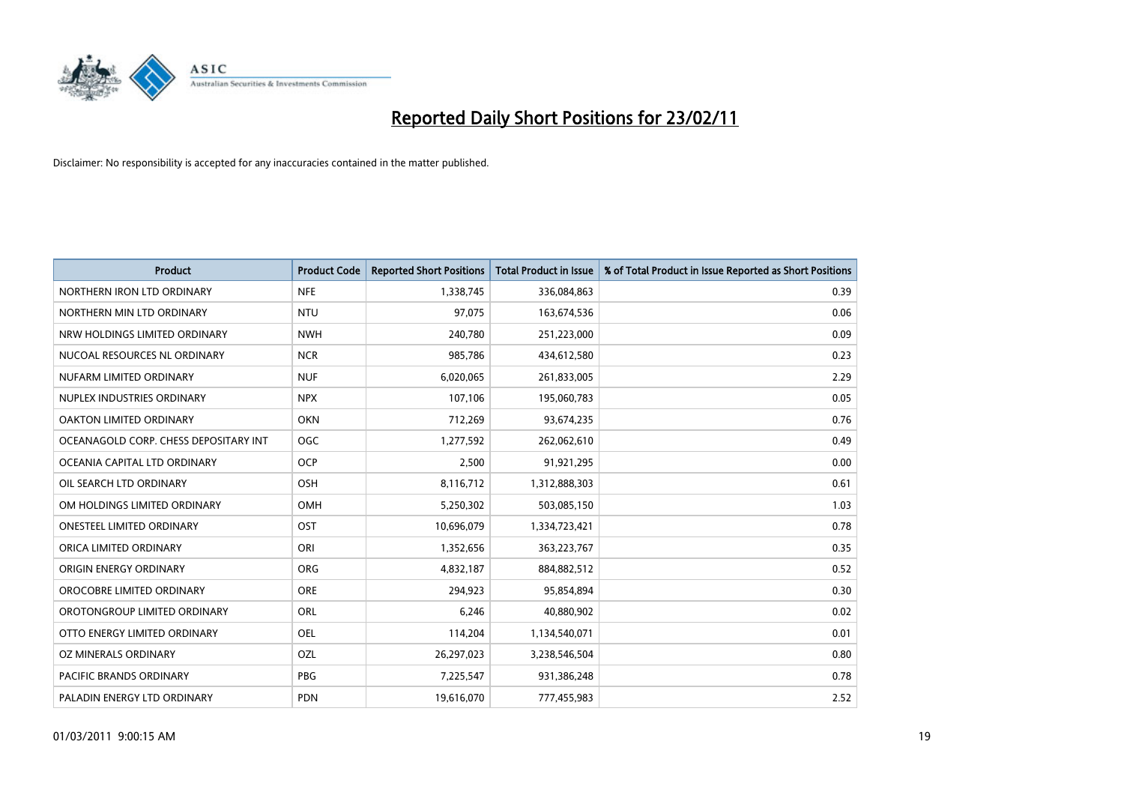

| Product                               | <b>Product Code</b> | <b>Reported Short Positions</b> | <b>Total Product in Issue</b> | % of Total Product in Issue Reported as Short Positions |
|---------------------------------------|---------------------|---------------------------------|-------------------------------|---------------------------------------------------------|
| NORTHERN IRON LTD ORDINARY            | <b>NFE</b>          | 1,338,745                       | 336,084,863                   | 0.39                                                    |
| NORTHERN MIN LTD ORDINARY             | <b>NTU</b>          | 97,075                          | 163,674,536                   | 0.06                                                    |
| NRW HOLDINGS LIMITED ORDINARY         | <b>NWH</b>          | 240,780                         | 251,223,000                   | 0.09                                                    |
| NUCOAL RESOURCES NL ORDINARY          | <b>NCR</b>          | 985,786                         | 434,612,580                   | 0.23                                                    |
| NUFARM LIMITED ORDINARY               | <b>NUF</b>          | 6,020,065                       | 261,833,005                   | 2.29                                                    |
| NUPLEX INDUSTRIES ORDINARY            | <b>NPX</b>          | 107,106                         | 195,060,783                   | 0.05                                                    |
| OAKTON LIMITED ORDINARY               | <b>OKN</b>          | 712,269                         | 93,674,235                    | 0.76                                                    |
| OCEANAGOLD CORP. CHESS DEPOSITARY INT | <b>OGC</b>          | 1,277,592                       | 262,062,610                   | 0.49                                                    |
| OCEANIA CAPITAL LTD ORDINARY          | <b>OCP</b>          | 2,500                           | 91,921,295                    | 0.00                                                    |
| OIL SEARCH LTD ORDINARY               | <b>OSH</b>          | 8,116,712                       | 1,312,888,303                 | 0.61                                                    |
| OM HOLDINGS LIMITED ORDINARY          | <b>OMH</b>          | 5,250,302                       | 503,085,150                   | 1.03                                                    |
| <b>ONESTEEL LIMITED ORDINARY</b>      | OST                 | 10,696,079                      | 1,334,723,421                 | 0.78                                                    |
| ORICA LIMITED ORDINARY                | ORI                 | 1,352,656                       | 363,223,767                   | 0.35                                                    |
| ORIGIN ENERGY ORDINARY                | <b>ORG</b>          | 4,832,187                       | 884,882,512                   | 0.52                                                    |
| OROCOBRE LIMITED ORDINARY             | <b>ORE</b>          | 294,923                         | 95,854,894                    | 0.30                                                    |
| OROTONGROUP LIMITED ORDINARY          | <b>ORL</b>          | 6,246                           | 40,880,902                    | 0.02                                                    |
| OTTO ENERGY LIMITED ORDINARY          | <b>OEL</b>          | 114,204                         | 1,134,540,071                 | 0.01                                                    |
| OZ MINERALS ORDINARY                  | OZL                 | 26,297,023                      | 3,238,546,504                 | 0.80                                                    |
| <b>PACIFIC BRANDS ORDINARY</b>        | <b>PBG</b>          | 7,225,547                       | 931,386,248                   | 0.78                                                    |
| PALADIN ENERGY LTD ORDINARY           | <b>PDN</b>          | 19,616,070                      | 777,455,983                   | 2.52                                                    |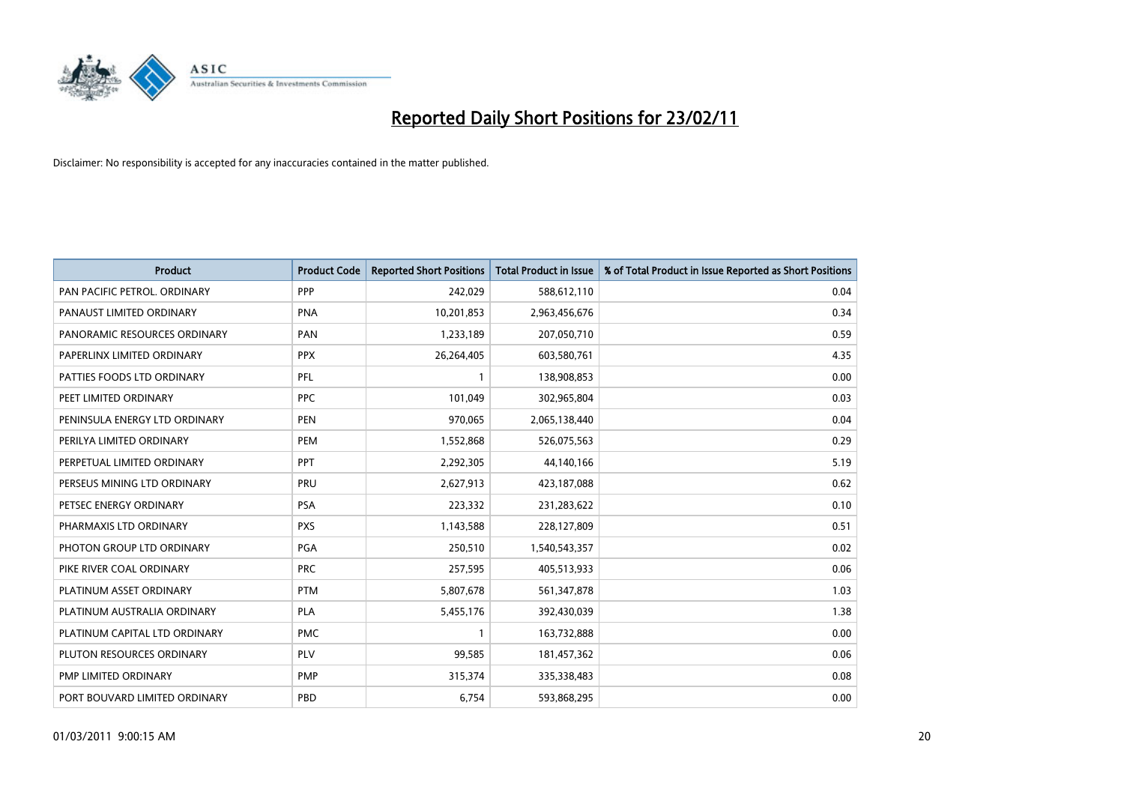

| <b>Product</b>                | <b>Product Code</b> | <b>Reported Short Positions</b> | Total Product in Issue | % of Total Product in Issue Reported as Short Positions |
|-------------------------------|---------------------|---------------------------------|------------------------|---------------------------------------------------------|
| PAN PACIFIC PETROL. ORDINARY  | <b>PPP</b>          | 242,029                         | 588,612,110            | 0.04                                                    |
| PANAUST LIMITED ORDINARY      | <b>PNA</b>          | 10,201,853                      | 2,963,456,676          | 0.34                                                    |
| PANORAMIC RESOURCES ORDINARY  | PAN                 | 1,233,189                       | 207,050,710            | 0.59                                                    |
| PAPERLINX LIMITED ORDINARY    | <b>PPX</b>          | 26,264,405                      | 603,580,761            | 4.35                                                    |
| PATTIES FOODS LTD ORDINARY    | PFL                 |                                 | 138,908,853            | 0.00                                                    |
| PEET LIMITED ORDINARY         | <b>PPC</b>          | 101,049                         | 302,965,804            | 0.03                                                    |
| PENINSULA ENERGY LTD ORDINARY | <b>PEN</b>          | 970,065                         | 2,065,138,440          | 0.04                                                    |
| PERILYA LIMITED ORDINARY      | PEM                 | 1,552,868                       | 526,075,563            | 0.29                                                    |
| PERPETUAL LIMITED ORDINARY    | <b>PPT</b>          | 2,292,305                       | 44,140,166             | 5.19                                                    |
| PERSEUS MINING LTD ORDINARY   | PRU                 | 2,627,913                       | 423,187,088            | 0.62                                                    |
| PETSEC ENERGY ORDINARY        | <b>PSA</b>          | 223,332                         | 231,283,622            | 0.10                                                    |
| PHARMAXIS LTD ORDINARY        | <b>PXS</b>          | 1,143,588                       | 228,127,809            | 0.51                                                    |
| PHOTON GROUP LTD ORDINARY     | PGA                 | 250,510                         | 1,540,543,357          | 0.02                                                    |
| PIKE RIVER COAL ORDINARY      | <b>PRC</b>          | 257,595                         | 405,513,933            | 0.06                                                    |
| PLATINUM ASSET ORDINARY       | <b>PTM</b>          | 5,807,678                       | 561,347,878            | 1.03                                                    |
| PLATINUM AUSTRALIA ORDINARY   | PLA                 | 5,455,176                       | 392,430,039            | 1.38                                                    |
| PLATINUM CAPITAL LTD ORDINARY | <b>PMC</b>          |                                 | 163,732,888            | 0.00                                                    |
| PLUTON RESOURCES ORDINARY     | <b>PLV</b>          | 99,585                          | 181,457,362            | 0.06                                                    |
| PMP LIMITED ORDINARY          | <b>PMP</b>          | 315,374                         | 335,338,483            | 0.08                                                    |
| PORT BOUVARD LIMITED ORDINARY | PBD                 | 6,754                           | 593,868,295            | 0.00                                                    |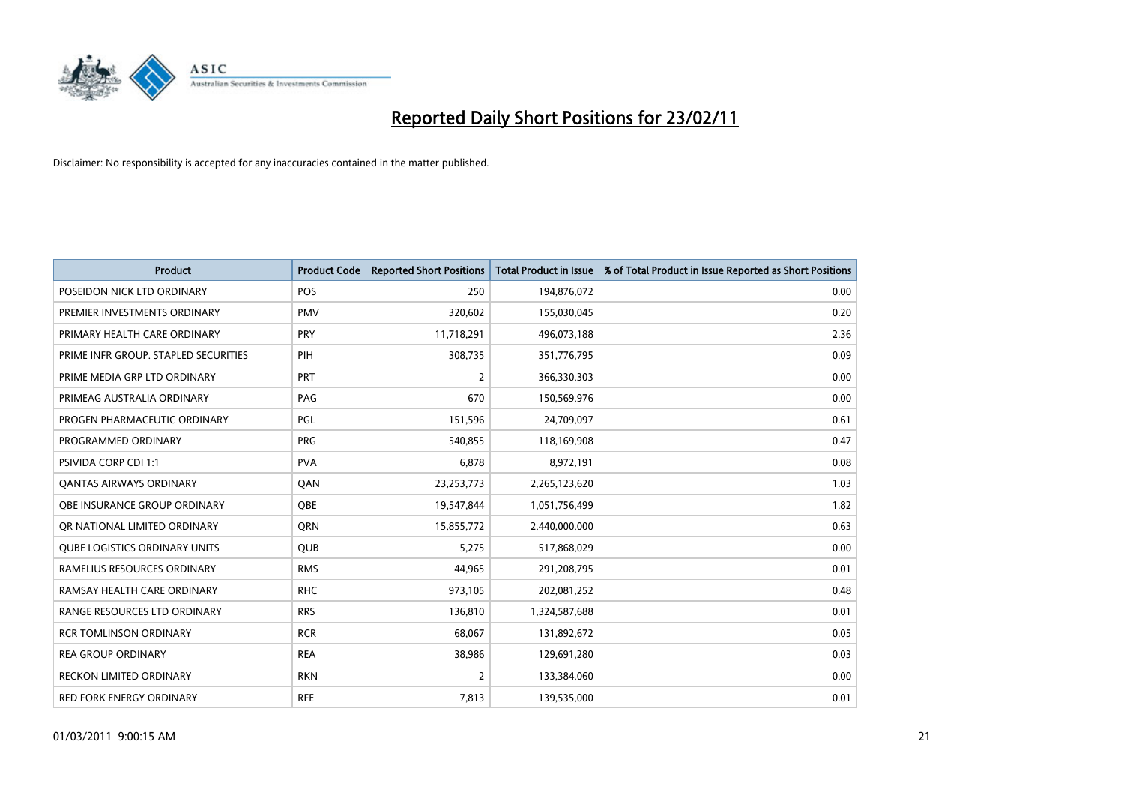

| Product                              | <b>Product Code</b> | <b>Reported Short Positions</b> | <b>Total Product in Issue</b> | % of Total Product in Issue Reported as Short Positions |
|--------------------------------------|---------------------|---------------------------------|-------------------------------|---------------------------------------------------------|
| POSEIDON NICK LTD ORDINARY           | <b>POS</b>          | 250                             | 194,876,072                   | 0.00                                                    |
| PREMIER INVESTMENTS ORDINARY         | <b>PMV</b>          | 320,602                         | 155,030,045                   | 0.20                                                    |
| PRIMARY HEALTH CARE ORDINARY         | <b>PRY</b>          | 11,718,291                      | 496,073,188                   | 2.36                                                    |
| PRIME INFR GROUP. STAPLED SECURITIES | PIH                 | 308,735                         | 351,776,795                   | 0.09                                                    |
| PRIME MEDIA GRP LTD ORDINARY         | PRT                 | 2                               | 366,330,303                   | 0.00                                                    |
| PRIMEAG AUSTRALIA ORDINARY           | PAG                 | 670                             | 150,569,976                   | 0.00                                                    |
| PROGEN PHARMACEUTIC ORDINARY         | PGL                 | 151,596                         | 24,709,097                    | 0.61                                                    |
| PROGRAMMED ORDINARY                  | <b>PRG</b>          | 540,855                         | 118,169,908                   | 0.47                                                    |
| <b>PSIVIDA CORP CDI 1:1</b>          | <b>PVA</b>          | 6,878                           | 8,972,191                     | 0.08                                                    |
| <b>QANTAS AIRWAYS ORDINARY</b>       | QAN                 | 23,253,773                      | 2,265,123,620                 | 1.03                                                    |
| OBE INSURANCE GROUP ORDINARY         | <b>OBE</b>          | 19,547,844                      | 1,051,756,499                 | 1.82                                                    |
| OR NATIONAL LIMITED ORDINARY         | <b>ORN</b>          | 15,855,772                      | 2,440,000,000                 | 0.63                                                    |
| <b>QUBE LOGISTICS ORDINARY UNITS</b> | <b>QUB</b>          | 5,275                           | 517,868,029                   | 0.00                                                    |
| RAMELIUS RESOURCES ORDINARY          | <b>RMS</b>          | 44,965                          | 291,208,795                   | 0.01                                                    |
| RAMSAY HEALTH CARE ORDINARY          | <b>RHC</b>          | 973,105                         | 202,081,252                   | 0.48                                                    |
| RANGE RESOURCES LTD ORDINARY         | <b>RRS</b>          | 136,810                         | 1,324,587,688                 | 0.01                                                    |
| <b>RCR TOMLINSON ORDINARY</b>        | <b>RCR</b>          | 68,067                          | 131,892,672                   | 0.05                                                    |
| <b>REA GROUP ORDINARY</b>            | <b>REA</b>          | 38,986                          | 129,691,280                   | 0.03                                                    |
| <b>RECKON LIMITED ORDINARY</b>       | <b>RKN</b>          | 2                               | 133,384,060                   | 0.00                                                    |
| <b>RED FORK ENERGY ORDINARY</b>      | <b>RFE</b>          | 7,813                           | 139,535,000                   | 0.01                                                    |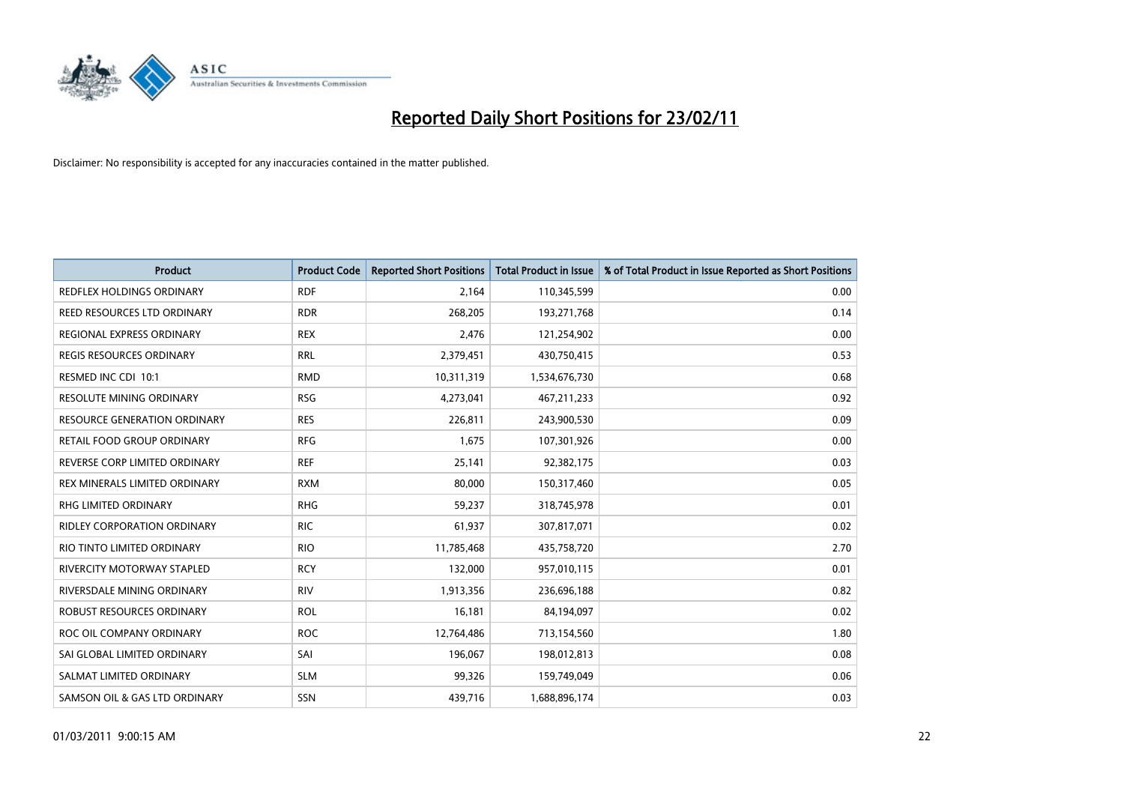

| <b>Product</b>                      | <b>Product Code</b> | <b>Reported Short Positions</b> | <b>Total Product in Issue</b> | % of Total Product in Issue Reported as Short Positions |
|-------------------------------------|---------------------|---------------------------------|-------------------------------|---------------------------------------------------------|
| REDFLEX HOLDINGS ORDINARY           | <b>RDF</b>          | 2,164                           | 110,345,599                   | 0.00                                                    |
| REED RESOURCES LTD ORDINARY         | <b>RDR</b>          | 268,205                         | 193,271,768                   | 0.14                                                    |
| REGIONAL EXPRESS ORDINARY           | <b>REX</b>          | 2,476                           | 121,254,902                   | 0.00                                                    |
| REGIS RESOURCES ORDINARY            | <b>RRL</b>          | 2,379,451                       | 430,750,415                   | 0.53                                                    |
| RESMED INC CDI 10:1                 | <b>RMD</b>          | 10,311,319                      | 1,534,676,730                 | 0.68                                                    |
| <b>RESOLUTE MINING ORDINARY</b>     | <b>RSG</b>          | 4,273,041                       | 467,211,233                   | 0.92                                                    |
| <b>RESOURCE GENERATION ORDINARY</b> | <b>RES</b>          | 226,811                         | 243,900,530                   | 0.09                                                    |
| RETAIL FOOD GROUP ORDINARY          | <b>RFG</b>          | 1,675                           | 107,301,926                   | 0.00                                                    |
| REVERSE CORP LIMITED ORDINARY       | <b>REF</b>          | 25,141                          | 92,382,175                    | 0.03                                                    |
| REX MINERALS LIMITED ORDINARY       | <b>RXM</b>          | 80,000                          | 150,317,460                   | 0.05                                                    |
| RHG LIMITED ORDINARY                | <b>RHG</b>          | 59,237                          | 318,745,978                   | 0.01                                                    |
| <b>RIDLEY CORPORATION ORDINARY</b>  | <b>RIC</b>          | 61,937                          | 307,817,071                   | 0.02                                                    |
| RIO TINTO LIMITED ORDINARY          | <b>RIO</b>          | 11,785,468                      | 435,758,720                   | 2.70                                                    |
| <b>RIVERCITY MOTORWAY STAPLED</b>   | <b>RCY</b>          | 132,000                         | 957,010,115                   | 0.01                                                    |
| RIVERSDALE MINING ORDINARY          | <b>RIV</b>          | 1,913,356                       | 236,696,188                   | 0.82                                                    |
| ROBUST RESOURCES ORDINARY           | <b>ROL</b>          | 16,181                          | 84,194,097                    | 0.02                                                    |
| ROC OIL COMPANY ORDINARY            | <b>ROC</b>          | 12,764,486                      | 713,154,560                   | 1.80                                                    |
| SAI GLOBAL LIMITED ORDINARY         | SAI                 | 196,067                         | 198,012,813                   | 0.08                                                    |
| SALMAT LIMITED ORDINARY             | <b>SLM</b>          | 99,326                          | 159,749,049                   | 0.06                                                    |
| SAMSON OIL & GAS LTD ORDINARY       | SSN                 | 439,716                         | 1,688,896,174                 | 0.03                                                    |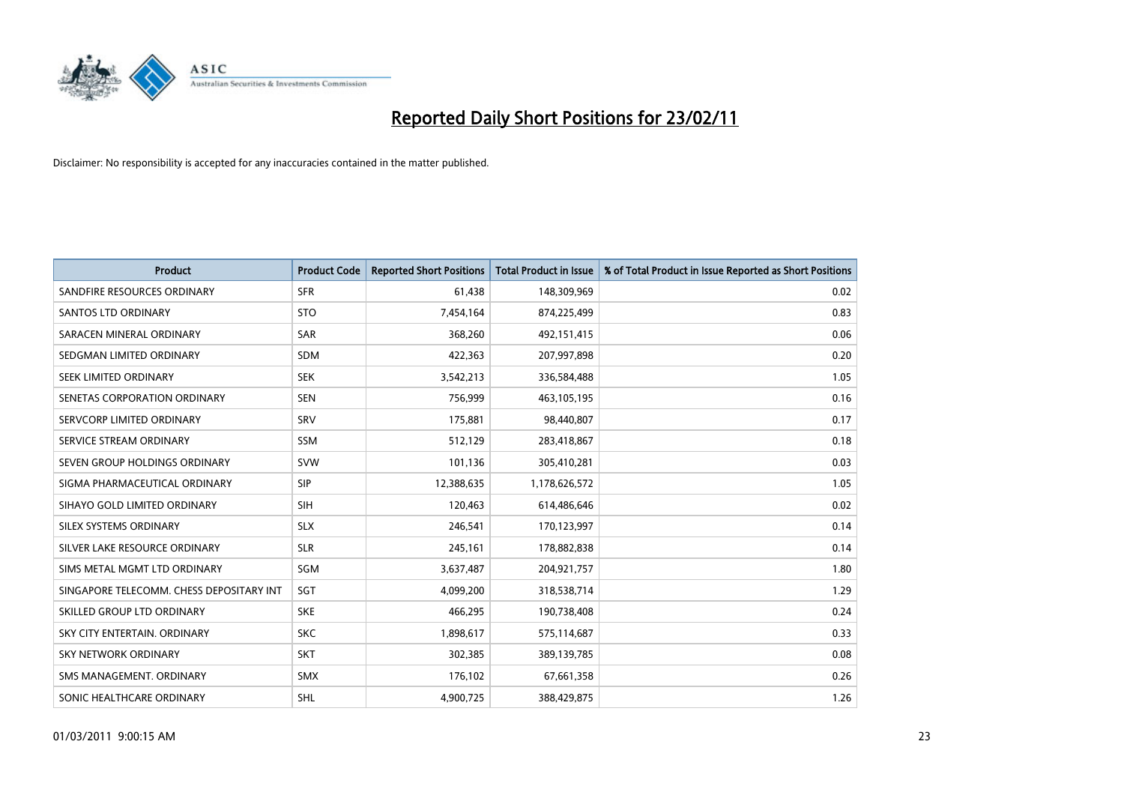

| <b>Product</b>                           | <b>Product Code</b> | <b>Reported Short Positions</b> | <b>Total Product in Issue</b> | % of Total Product in Issue Reported as Short Positions |
|------------------------------------------|---------------------|---------------------------------|-------------------------------|---------------------------------------------------------|
| SANDFIRE RESOURCES ORDINARY              | <b>SFR</b>          | 61,438                          | 148,309,969                   | 0.02                                                    |
| <b>SANTOS LTD ORDINARY</b>               | <b>STO</b>          | 7,454,164                       | 874,225,499                   | 0.83                                                    |
| SARACEN MINERAL ORDINARY                 | <b>SAR</b>          | 368,260                         | 492,151,415                   | 0.06                                                    |
| SEDGMAN LIMITED ORDINARY                 | <b>SDM</b>          | 422,363                         | 207,997,898                   | 0.20                                                    |
| SEEK LIMITED ORDINARY                    | <b>SEK</b>          | 3,542,213                       | 336,584,488                   | 1.05                                                    |
| SENETAS CORPORATION ORDINARY             | <b>SEN</b>          | 756,999                         | 463,105,195                   | 0.16                                                    |
| SERVCORP LIMITED ORDINARY                | SRV                 | 175,881                         | 98,440,807                    | 0.17                                                    |
| SERVICE STREAM ORDINARY                  | <b>SSM</b>          | 512,129                         | 283,418,867                   | 0.18                                                    |
| SEVEN GROUP HOLDINGS ORDINARY            | <b>SVW</b>          | 101,136                         | 305,410,281                   | 0.03                                                    |
| SIGMA PHARMACEUTICAL ORDINARY            | <b>SIP</b>          | 12,388,635                      | 1,178,626,572                 | 1.05                                                    |
| SIHAYO GOLD LIMITED ORDINARY             | <b>SIH</b>          | 120,463                         | 614,486,646                   | 0.02                                                    |
| SILEX SYSTEMS ORDINARY                   | <b>SLX</b>          | 246,541                         | 170,123,997                   | 0.14                                                    |
| SILVER LAKE RESOURCE ORDINARY            | <b>SLR</b>          | 245,161                         | 178,882,838                   | 0.14                                                    |
| SIMS METAL MGMT LTD ORDINARY             | SGM                 | 3,637,487                       | 204,921,757                   | 1.80                                                    |
| SINGAPORE TELECOMM. CHESS DEPOSITARY INT | SGT                 | 4,099,200                       | 318,538,714                   | 1.29                                                    |
| SKILLED GROUP LTD ORDINARY               | <b>SKE</b>          | 466,295                         | 190,738,408                   | 0.24                                                    |
| SKY CITY ENTERTAIN, ORDINARY             | <b>SKC</b>          | 1,898,617                       | 575,114,687                   | 0.33                                                    |
| <b>SKY NETWORK ORDINARY</b>              | <b>SKT</b>          | 302,385                         | 389,139,785                   | 0.08                                                    |
| SMS MANAGEMENT, ORDINARY                 | <b>SMX</b>          | 176,102                         | 67,661,358                    | 0.26                                                    |
| SONIC HEALTHCARE ORDINARY                | <b>SHL</b>          | 4,900,725                       | 388,429,875                   | 1.26                                                    |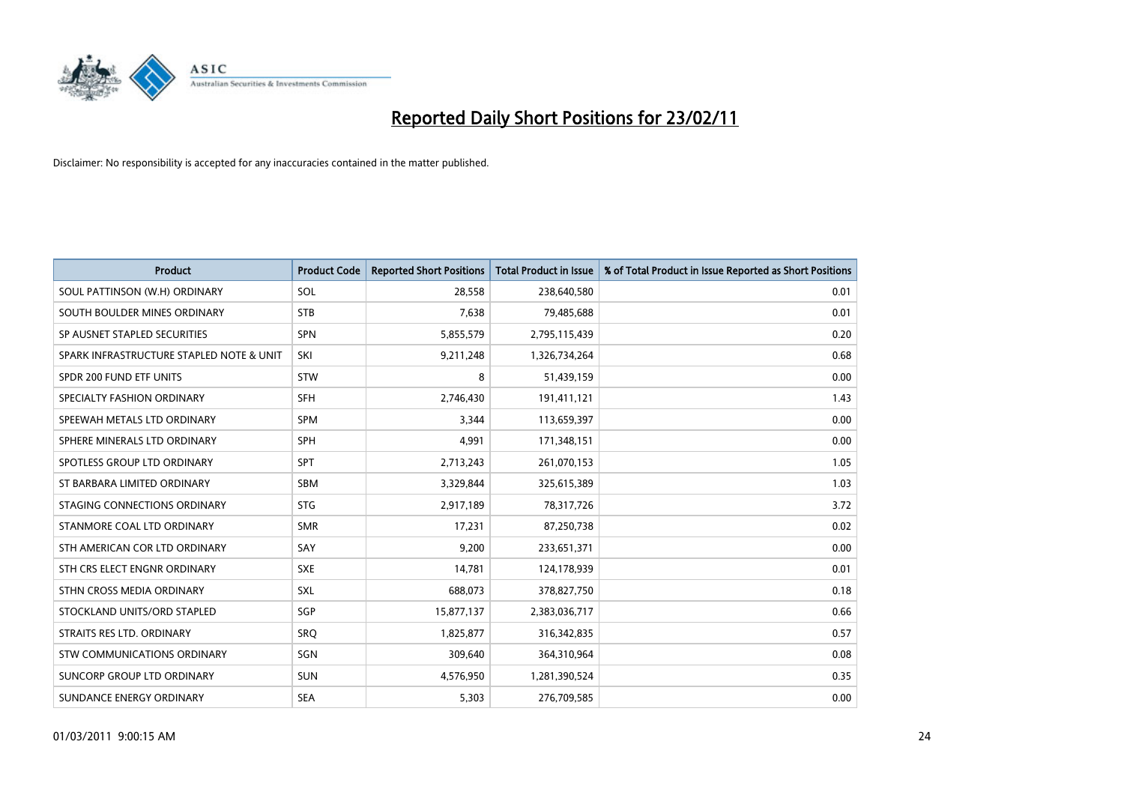

| <b>Product</b>                           | <b>Product Code</b> | <b>Reported Short Positions</b> | <b>Total Product in Issue</b> | % of Total Product in Issue Reported as Short Positions |
|------------------------------------------|---------------------|---------------------------------|-------------------------------|---------------------------------------------------------|
| SOUL PATTINSON (W.H) ORDINARY            | SOL                 | 28,558                          | 238,640,580                   | 0.01                                                    |
| SOUTH BOULDER MINES ORDINARY             | <b>STB</b>          | 7,638                           | 79,485,688                    | 0.01                                                    |
| SP AUSNET STAPLED SECURITIES             | SPN                 | 5,855,579                       | 2,795,115,439                 | 0.20                                                    |
| SPARK INFRASTRUCTURE STAPLED NOTE & UNIT | SKI                 | 9,211,248                       | 1,326,734,264                 | 0.68                                                    |
| SPDR 200 FUND ETF UNITS                  | <b>STW</b>          | 8                               | 51,439,159                    | 0.00                                                    |
| SPECIALTY FASHION ORDINARY               | <b>SFH</b>          | 2,746,430                       | 191,411,121                   | 1.43                                                    |
| SPEEWAH METALS LTD ORDINARY              | <b>SPM</b>          | 3,344                           | 113,659,397                   | 0.00                                                    |
| SPHERE MINERALS LTD ORDINARY             | <b>SPH</b>          | 4,991                           | 171,348,151                   | 0.00                                                    |
| SPOTLESS GROUP LTD ORDINARY              | <b>SPT</b>          | 2,713,243                       | 261,070,153                   | 1.05                                                    |
| ST BARBARA LIMITED ORDINARY              | <b>SBM</b>          | 3,329,844                       | 325,615,389                   | 1.03                                                    |
| STAGING CONNECTIONS ORDINARY             | <b>STG</b>          | 2,917,189                       | 78,317,726                    | 3.72                                                    |
| STANMORE COAL LTD ORDINARY               | <b>SMR</b>          | 17,231                          | 87,250,738                    | 0.02                                                    |
| STH AMERICAN COR LTD ORDINARY            | SAY                 | 9,200                           | 233,651,371                   | 0.00                                                    |
| STH CRS ELECT ENGNR ORDINARY             | <b>SXE</b>          | 14,781                          | 124,178,939                   | 0.01                                                    |
| STHN CROSS MEDIA ORDINARY                | <b>SXL</b>          | 688,073                         | 378,827,750                   | 0.18                                                    |
| STOCKLAND UNITS/ORD STAPLED              | SGP                 | 15,877,137                      | 2,383,036,717                 | 0.66                                                    |
| STRAITS RES LTD. ORDINARY                | SRQ                 | 1,825,877                       | 316, 342, 835                 | 0.57                                                    |
| STW COMMUNICATIONS ORDINARY              | SGN                 | 309,640                         | 364,310,964                   | 0.08                                                    |
| SUNCORP GROUP LTD ORDINARY               | <b>SUN</b>          | 4,576,950                       | 1,281,390,524                 | 0.35                                                    |
| SUNDANCE ENERGY ORDINARY                 | <b>SEA</b>          | 5,303                           | 276,709,585                   | 0.00                                                    |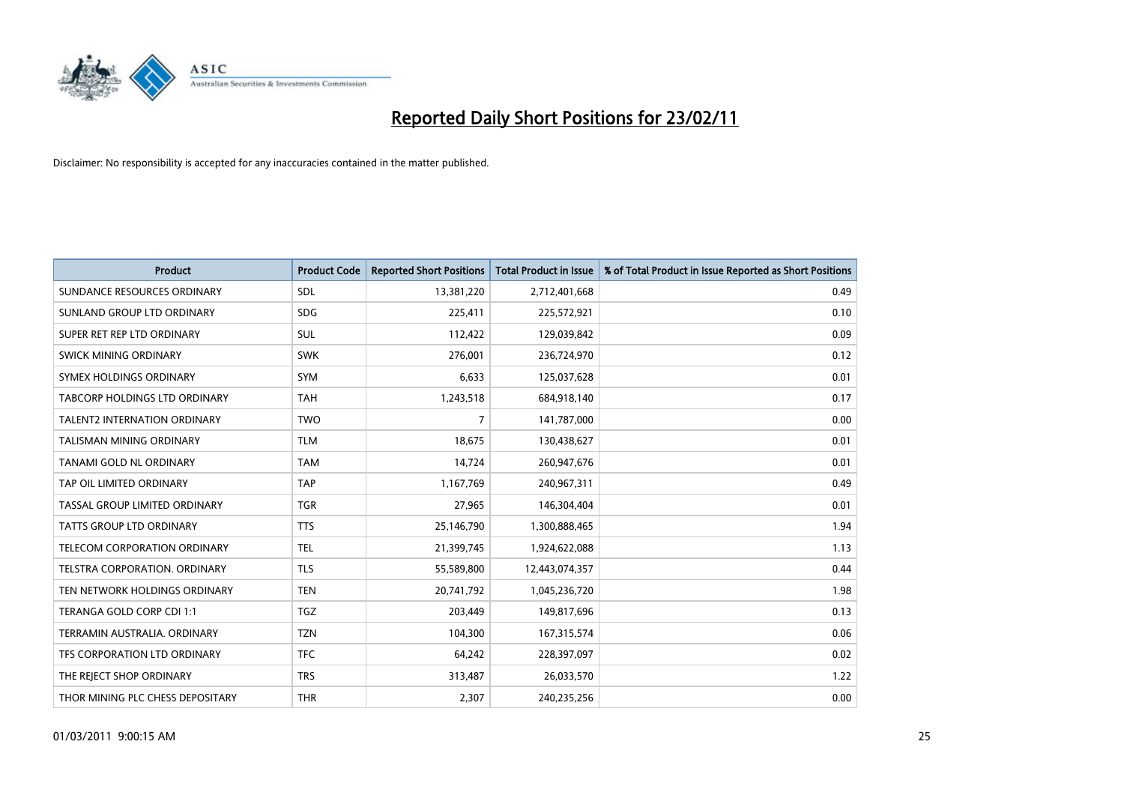

| <b>Product</b>                       | <b>Product Code</b> | <b>Reported Short Positions</b> | <b>Total Product in Issue</b> | % of Total Product in Issue Reported as Short Positions |
|--------------------------------------|---------------------|---------------------------------|-------------------------------|---------------------------------------------------------|
| SUNDANCE RESOURCES ORDINARY          | SDL                 | 13,381,220                      | 2,712,401,668                 | 0.49                                                    |
| SUNLAND GROUP LTD ORDINARY           | <b>SDG</b>          | 225,411                         | 225,572,921                   | 0.10                                                    |
| SUPER RET REP LTD ORDINARY           | SUL                 | 112,422                         | 129,039,842                   | 0.09                                                    |
| SWICK MINING ORDINARY                | <b>SWK</b>          | 276,001                         | 236,724,970                   | 0.12                                                    |
| SYMEX HOLDINGS ORDINARY              | <b>SYM</b>          | 6,633                           | 125,037,628                   | 0.01                                                    |
| <b>TABCORP HOLDINGS LTD ORDINARY</b> | <b>TAH</b>          | 1,243,518                       | 684,918,140                   | 0.17                                                    |
| <b>TALENT2 INTERNATION ORDINARY</b>  | <b>TWO</b>          | 7                               | 141,787,000                   | 0.00                                                    |
| TALISMAN MINING ORDINARY             | <b>TLM</b>          | 18,675                          | 130,438,627                   | 0.01                                                    |
| TANAMI GOLD NL ORDINARY              | <b>TAM</b>          | 14,724                          | 260,947,676                   | 0.01                                                    |
| TAP OIL LIMITED ORDINARY             | <b>TAP</b>          | 1,167,769                       | 240,967,311                   | 0.49                                                    |
| TASSAL GROUP LIMITED ORDINARY        | <b>TGR</b>          | 27,965                          | 146,304,404                   | 0.01                                                    |
| TATTS GROUP LTD ORDINARY             | <b>TTS</b>          | 25,146,790                      | 1,300,888,465                 | 1.94                                                    |
| <b>TELECOM CORPORATION ORDINARY</b>  | <b>TEL</b>          | 21,399,745                      | 1,924,622,088                 | 1.13                                                    |
| TELSTRA CORPORATION, ORDINARY        | <b>TLS</b>          | 55,589,800                      | 12,443,074,357                | 0.44                                                    |
| TEN NETWORK HOLDINGS ORDINARY        | <b>TEN</b>          | 20,741,792                      | 1,045,236,720                 | 1.98                                                    |
| TERANGA GOLD CORP CDI 1:1            | <b>TGZ</b>          | 203.449                         | 149,817,696                   | 0.13                                                    |
| TERRAMIN AUSTRALIA, ORDINARY         | <b>TZN</b>          | 104,300                         | 167,315,574                   | 0.06                                                    |
| TFS CORPORATION LTD ORDINARY         | <b>TFC</b>          | 64,242                          | 228,397,097                   | 0.02                                                    |
| THE REJECT SHOP ORDINARY             | <b>TRS</b>          | 313,487                         | 26,033,570                    | 1.22                                                    |
| THOR MINING PLC CHESS DEPOSITARY     | <b>THR</b>          | 2,307                           | 240,235,256                   | 0.00                                                    |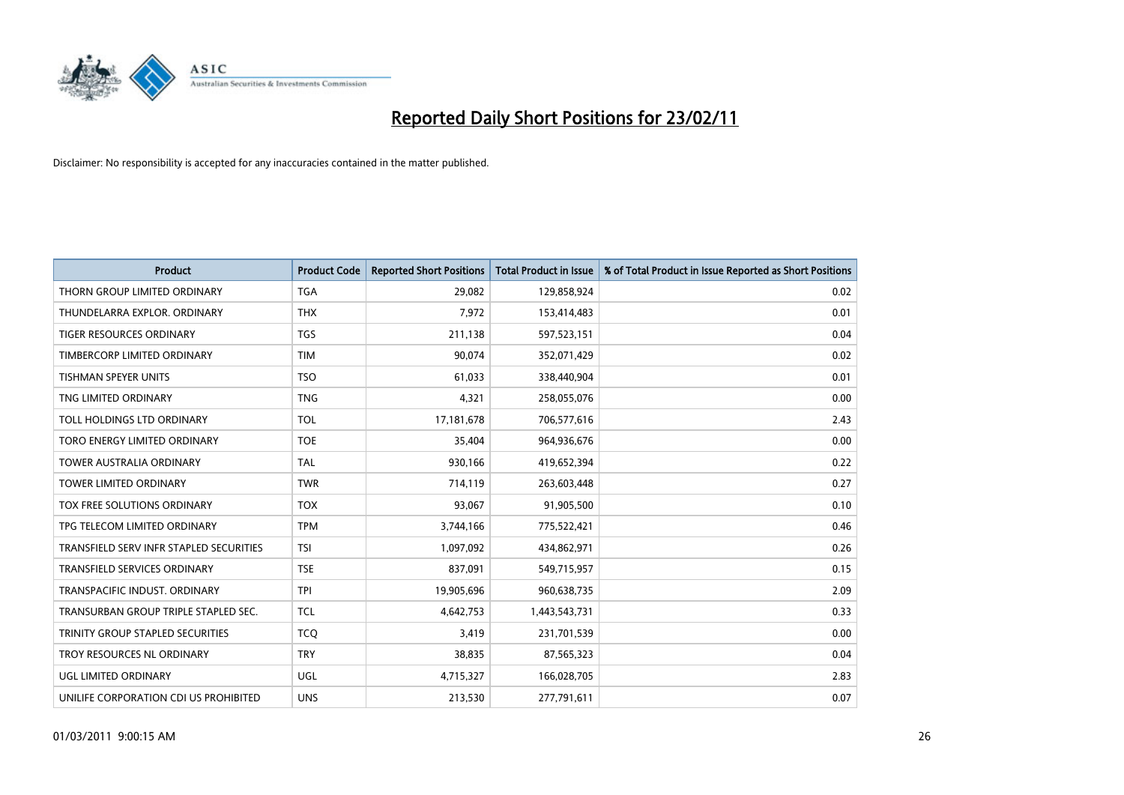

| <b>Product</b>                          | <b>Product Code</b> | <b>Reported Short Positions</b> | <b>Total Product in Issue</b> | % of Total Product in Issue Reported as Short Positions |
|-----------------------------------------|---------------------|---------------------------------|-------------------------------|---------------------------------------------------------|
| THORN GROUP LIMITED ORDINARY            | <b>TGA</b>          | 29,082                          | 129,858,924                   | 0.02                                                    |
| THUNDELARRA EXPLOR. ORDINARY            | <b>THX</b>          | 7,972                           | 153,414,483                   | 0.01                                                    |
| <b>TIGER RESOURCES ORDINARY</b>         | <b>TGS</b>          | 211,138                         | 597,523,151                   | 0.04                                                    |
| TIMBERCORP LIMITED ORDINARY             | <b>TIM</b>          | 90,074                          | 352,071,429                   | 0.02                                                    |
| <b>TISHMAN SPEYER UNITS</b>             | <b>TSO</b>          | 61,033                          | 338,440,904                   | 0.01                                                    |
| TNG LIMITED ORDINARY                    | <b>TNG</b>          | 4,321                           | 258,055,076                   | 0.00                                                    |
| TOLL HOLDINGS LTD ORDINARY              | <b>TOL</b>          | 17,181,678                      | 706,577,616                   | 2.43                                                    |
| TORO ENERGY LIMITED ORDINARY            | <b>TOE</b>          | 35,404                          | 964,936,676                   | 0.00                                                    |
| TOWER AUSTRALIA ORDINARY                | <b>TAL</b>          | 930,166                         | 419,652,394                   | 0.22                                                    |
| <b>TOWER LIMITED ORDINARY</b>           | <b>TWR</b>          | 714,119                         | 263,603,448                   | 0.27                                                    |
| TOX FREE SOLUTIONS ORDINARY             | <b>TOX</b>          | 93,067                          | 91,905,500                    | 0.10                                                    |
| TPG TELECOM LIMITED ORDINARY            | <b>TPM</b>          | 3,744,166                       | 775,522,421                   | 0.46                                                    |
| TRANSFIELD SERV INFR STAPLED SECURITIES | <b>TSI</b>          | 1,097,092                       | 434,862,971                   | 0.26                                                    |
| <b>TRANSFIELD SERVICES ORDINARY</b>     | <b>TSE</b>          | 837,091                         | 549,715,957                   | 0.15                                                    |
| TRANSPACIFIC INDUST, ORDINARY           | <b>TPI</b>          | 19,905,696                      | 960,638,735                   | 2.09                                                    |
| TRANSURBAN GROUP TRIPLE STAPLED SEC.    | <b>TCL</b>          | 4,642,753                       | 1,443,543,731                 | 0.33                                                    |
| TRINITY GROUP STAPLED SECURITIES        | <b>TCQ</b>          | 3,419                           | 231,701,539                   | 0.00                                                    |
| TROY RESOURCES NL ORDINARY              | <b>TRY</b>          | 38,835                          | 87,565,323                    | 0.04                                                    |
| <b>UGL LIMITED ORDINARY</b>             | <b>UGL</b>          | 4,715,327                       | 166,028,705                   | 2.83                                                    |
| UNILIFE CORPORATION CDI US PROHIBITED   | <b>UNS</b>          | 213,530                         | 277,791,611                   | 0.07                                                    |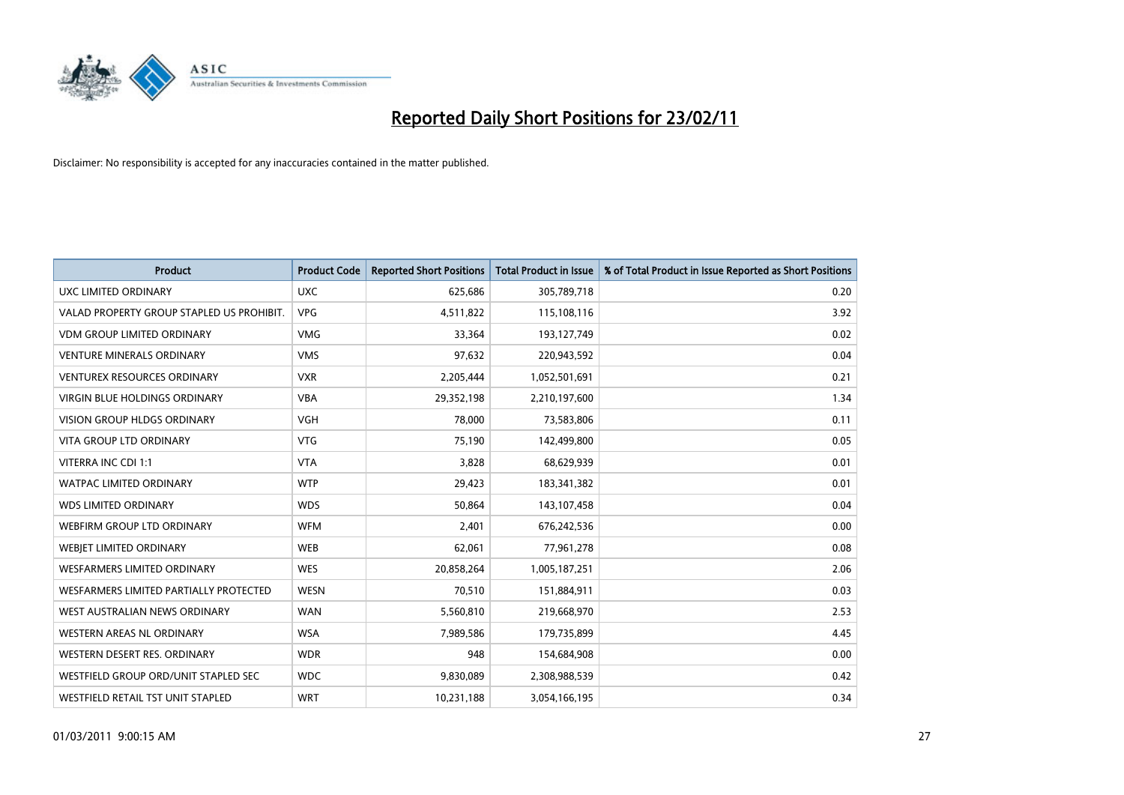

| Product                                   | <b>Product Code</b> | <b>Reported Short Positions</b> | Total Product in Issue | % of Total Product in Issue Reported as Short Positions |
|-------------------------------------------|---------------------|---------------------------------|------------------------|---------------------------------------------------------|
| UXC LIMITED ORDINARY                      | <b>UXC</b>          | 625,686                         | 305,789,718            | 0.20                                                    |
| VALAD PROPERTY GROUP STAPLED US PROHIBIT. | <b>VPG</b>          | 4,511,822                       | 115,108,116            | 3.92                                                    |
| <b>VDM GROUP LIMITED ORDINARY</b>         | <b>VMG</b>          | 33,364                          | 193,127,749            | 0.02                                                    |
| <b>VENTURE MINERALS ORDINARY</b>          | <b>VMS</b>          | 97,632                          | 220,943,592            | 0.04                                                    |
| <b>VENTUREX RESOURCES ORDINARY</b>        | <b>VXR</b>          | 2,205,444                       | 1,052,501,691          | 0.21                                                    |
| <b>VIRGIN BLUE HOLDINGS ORDINARY</b>      | <b>VBA</b>          | 29,352,198                      | 2,210,197,600          | 1.34                                                    |
| <b>VISION GROUP HLDGS ORDINARY</b>        | <b>VGH</b>          | 78,000                          | 73,583,806             | 0.11                                                    |
| <b>VITA GROUP LTD ORDINARY</b>            | <b>VTG</b>          | 75,190                          | 142,499,800            | 0.05                                                    |
| VITERRA INC CDI 1:1                       | <b>VTA</b>          | 3,828                           | 68,629,939             | 0.01                                                    |
| <b>WATPAC LIMITED ORDINARY</b>            | <b>WTP</b>          | 29,423                          | 183,341,382            | 0.01                                                    |
| <b>WDS LIMITED ORDINARY</b>               | <b>WDS</b>          | 50,864                          | 143,107,458            | 0.04                                                    |
| WEBFIRM GROUP LTD ORDINARY                | <b>WFM</b>          | 2,401                           | 676,242,536            | 0.00                                                    |
| WEBJET LIMITED ORDINARY                   | <b>WEB</b>          | 62,061                          | 77,961,278             | 0.08                                                    |
| <b>WESFARMERS LIMITED ORDINARY</b>        | <b>WES</b>          | 20,858,264                      | 1,005,187,251          | 2.06                                                    |
| WESFARMERS LIMITED PARTIALLY PROTECTED    | <b>WESN</b>         | 70,510                          | 151,884,911            | 0.03                                                    |
| WEST AUSTRALIAN NEWS ORDINARY             | <b>WAN</b>          | 5,560,810                       | 219,668,970            | 2.53                                                    |
| WESTERN AREAS NL ORDINARY                 | <b>WSA</b>          | 7,989,586                       | 179,735,899            | 4.45                                                    |
| WESTERN DESERT RES. ORDINARY              | <b>WDR</b>          | 948                             | 154,684,908            | 0.00                                                    |
| WESTFIELD GROUP ORD/UNIT STAPLED SEC      | <b>WDC</b>          | 9,830,089                       | 2,308,988,539          | 0.42                                                    |
| WESTFIELD RETAIL TST UNIT STAPLED         | <b>WRT</b>          | 10,231,188                      | 3,054,166,195          | 0.34                                                    |